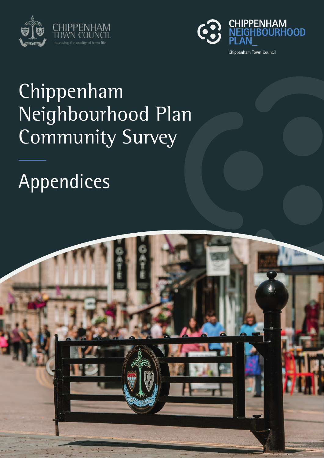



# Chippenham Neighbourhood Plan Community Survey

# Appendices

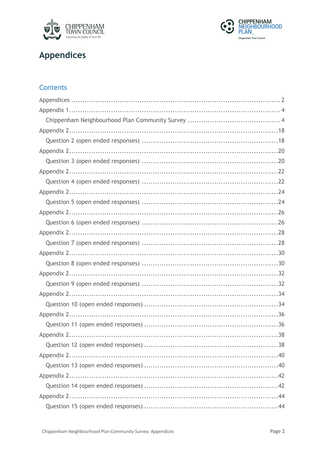



# **Appendices**

## Contents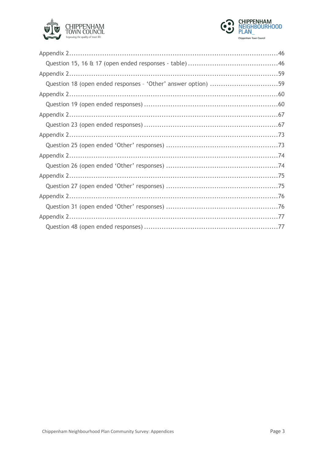



| Question 18 (open ended responses - 'Other' answer option) 59 |  |
|---------------------------------------------------------------|--|
|                                                               |  |
|                                                               |  |
|                                                               |  |
|                                                               |  |
|                                                               |  |
|                                                               |  |
|                                                               |  |
|                                                               |  |
|                                                               |  |
|                                                               |  |
|                                                               |  |
|                                                               |  |
|                                                               |  |
|                                                               |  |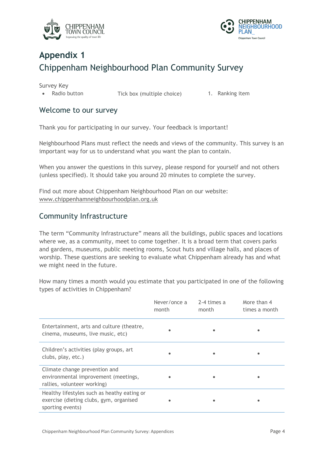



# **Appendix 1** Chippenham Neighbourhood Plan Community Survey

Survey Key

• Radio button Tick box (multiple choice) 1. Ranking item

### Welcome to our survey

Thank you for participating in our survey. Your feedback is important!

Neighbourhood Plans must reflect the needs and views of the community. This survey is an important way for us to understand what you want the plan to contain.

When you answer the questions in this survey, please respond for yourself and not others (unless specified). It should take you around 20 minutes to complete the survey.

Find out more about Chippenham Neighbourhood Plan on our website: www.chippenhamneighbourhoodplan.org.uk

## Community Infrastructure

The term "Community Infrastructure" means all the buildings, public spaces and locations where we, as a community, meet to come together. It is a broad term that covers parks and gardens, museums, public meeting rooms, Scout huts and village halls, and places of worship. These questions are seeking to evaluate what Chippenham already has and what we might need in the future.

How many times a month would you estimate that you participated in one of the following types of activities in Chippenham?

|                                                                                                            | Never/once a<br>month | 2-4 times a<br>month | More than 4<br>times a month |
|------------------------------------------------------------------------------------------------------------|-----------------------|----------------------|------------------------------|
| Entertainment, arts and culture (theatre,<br>cinema, museums, live music, etc)                             |                       |                      |                              |
| Children's activities (play groups, art<br>clubs, play, etc.)                                              |                       |                      |                              |
| Climate change prevention and<br>environmental improvement (meetings,<br>rallies, volunteer working)       |                       |                      |                              |
| Healthy lifestyles such as heathy eating or<br>exercise (dieting clubs, gym, organised<br>sporting events) |                       |                      |                              |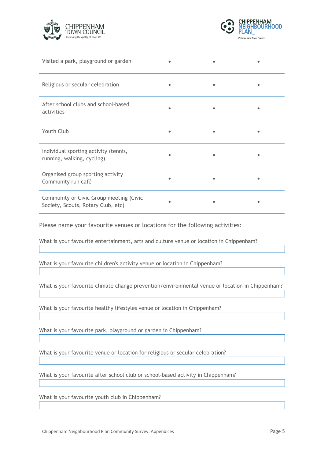



| Visited a park, playground or garden                                          |  |  |
|-------------------------------------------------------------------------------|--|--|
| Religious or secular celebration                                              |  |  |
| After school clubs and school-based<br>activities                             |  |  |
| Youth Club                                                                    |  |  |
| Individual sporting activity (tennis,<br>running, walking, cycling)           |  |  |
| Organised group sporting activity<br>Community run café                       |  |  |
| Community or Civic Group meeting (Civic<br>Society, Scouts, Rotary Club, etc) |  |  |

Please name your favourite venues or locations for the following activities:

What is your favourite entertainment, arts and culture venue or location in Chippenham?

What is your favourite children's activity venue or location in Chippenham?

What is your favourite climate change prevention/environmental venue or location in Chippenham?

What is your favourite healthy lifestyles venue or location in Chippenham?

What is your favourite park, playground or garden in Chippenham?

What is your favourite venue or location for religious or secular celebration?

What is your favourite after school club or school-based activity in Chippenham?

What is your favourite youth club in Chippenham?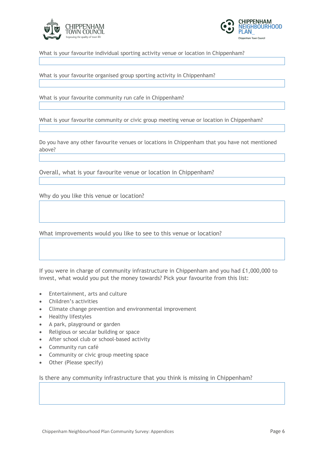



What is your favourite individual sporting activity venue or location in Chippenham?

What is your favourite organised group sporting activity in Chippenham?

What is your favourite community run cafe in Chippenham?

What is your favourite community or civic group meeting venue or location in Chippenham?

Do you have any other favourite venues or locations in Chippenham that you have not mentioned above?

Overall, what is your favourite venue or location in Chippenham?

Why do you like this venue or location?

What improvements would you like to see to this venue or location?

If you were in charge of community infrastructure in Chippenham and you had £1,000,000 to invest, what would you put the money towards? Pick your favourite from this list:

- Entertainment, arts and culture
- Children's activities
- Climate change prevention and environmental improvement
- Healthy lifestyles
- A park, playground or garden
- Religious or secular building or space
- After school club or school-based activity
- Community run café
- Community or civic group meeting space
- Other (Please specify)

Is there any community infrastructure that you think is missing in Chippenham?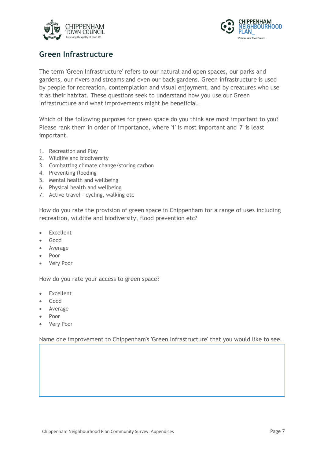



## **Green Infrastructure**

The term 'Green Infrastructure' refers to our natural and open spaces, our parks and gardens, our rivers and streams and even our back gardens. Green infrastructure is used by people for recreation, contemplation and visual enjoyment, and by creatures who use it as their habitat. These questions seek to understand how you use our Green Infrastructure and what improvements might be beneficial.

Which of the following purposes for green space do you think are most important to you? Please rank them in order of importance, where '1' is most important and '7' is least important.

- 1. Recreation and Play
- 2. Wildlife and biodiversity
- 3. Combatting climate change/storing carbon
- 4. Preventing flooding
- 5. Mental health and wellbeing
- 6. Physical health and wellbeing
- 7. Active travel cycling, walking etc

How do you rate the provision of green space in Chippenham for a range of uses including recreation, wildlife and biodiversity, flood prevention etc?

- **Fxcellent**
- Good
- Average
- Poor
- Very Poor

How do you rate your access to green space?

- **Excellent**
- Good
- Average
- Poor
- Very Poor

Name one improvement to Chippenham's 'Green Infrastructure' that you would like to see.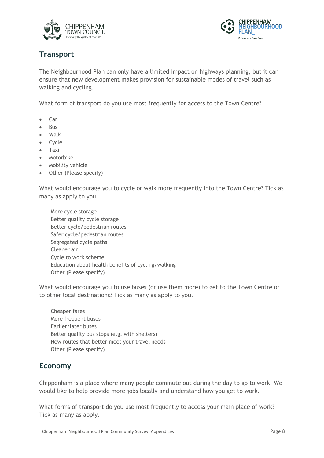



## **Transport**

The Neighbourhood Plan can only have a limited impact on highways planning, but it can ensure that new development makes provision for sustainable modes of travel such as walking and cycling.

What form of transport do you use most frequently for access to the Town Centre?

- Car
- Bus
- Walk
- Cycle
- Taxi
- Motorbike
- Mobility vehicle
- Other (Please specify)

What would encourage you to cycle or walk more frequently into the Town Centre? Tick as many as apply to you.

 More cycle storage Better quality cycle storage Better cycle/pedestrian routes Safer cycle/pedestrian routes Segregated cycle paths Cleaner air Cycle to work scheme Education about health benefits of cycling/walking Other (Please specify)

What would encourage you to use buses (or use them more) to get to the Town Centre or to other local destinations? Tick as many as apply to you.

 Cheaper fares More frequent buses Earlier/later buses Better quality bus stops (e.g. with shelters) New routes that better meet your travel needs Other (Please specify)

## **Economy**

Chippenham is a place where many people commute out during the day to go to work. We would like to help provide more jobs locally and understand how you get to work.

What forms of transport do you use most frequently to access your main place of work? Tick as many as apply.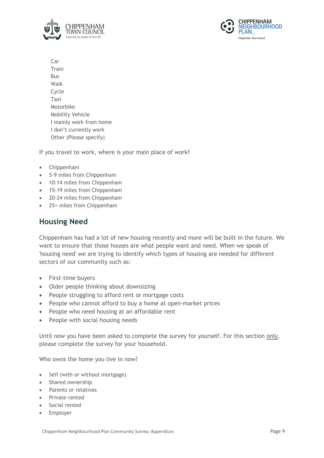



 Car Train Bus Walk Cycle Taxi Motorbike Mobility Vehicle I mainly work from home I don't currently work Other (Please specify)

If you travel to work, where is your main place of work?

- Chippenham
- 5-9 miles from Chippenham
- 10-14 miles from Chippenham
- 15-19 miles from Chippenham
- 20-24 miles from Chippenham
- 25+ miles from Chippenham

## **Housing Need**

Chippenham has had a lot of new housing recently and more will be built in the future. We want to ensure that those houses are what people want and need. When we speak of 'housing need' we are trying to identify which types of housing are needed for different sectors of our community such as:

- First-time buyers
- Older people thinking about downsizing
- People struggling to afford rent or mortgage costs
- People who cannot afford to buy a home at open-market prices
- People who need housing at an affordable rent
- People with social housing needs

Until now you have been asked to complete the survey for yourself. For this section only, please complete the survey for your household.

Who owns the home you live in now?

- Self (with or without mortgage)
- Shared ownership
- Parents or relatives
- Private rented
- Social rented
- Employer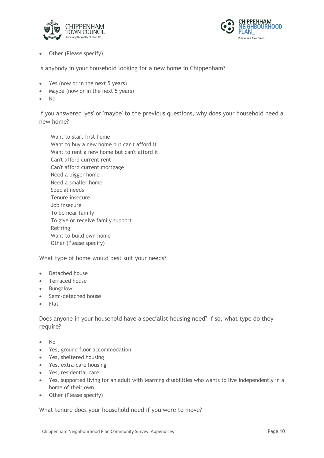



• Other (Please specify)

Is anybody in your household looking for a new home in Chippenham?

- Yes (now or in the next 5 years)
- Maybe (now or in the next 5 years)
- No

If you answered 'yes' or 'maybe' to the previous questions, why does your household need a new home?

 Want to start first home Want to buy a new home but can't afford it Want to rent a new home but can't afford it Can't afford current rent Can't afford current mortgage Need a bigger home Need a smaller home Special needs Tenure insecure Job insecure To be near family To give or receive family support Retiring Want to build own home Other (Please specify)

What type of home would best suit your needs?

- Detached house
- Terraced house
- Bungalow
- Semi-detached house
- Flat

Does anyone in your household have a specialist housing need? If so, what type do they require?

- No
- Yes, ground floor accommodation
- Yes, sheltered housing
- Yes, extra-care housing
- Yes, residential care
- Yes, supported living for an adult with learning disabilities who wants to live independently in a home of their own
- Other (Please specify)

What tenure does your household need if you were to move?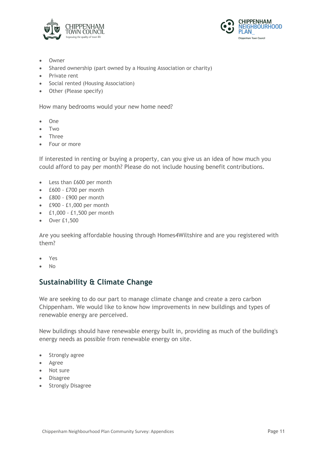



- **Owner**
- Shared ownership (part owned by a Housing Association or charity)
- Private rent
- Social rented (Housing Association)
- Other (Please specify)

How many bedrooms would your new home need?

- One
- Two
- Three
- Four or more

If interested in renting or buying a property, can you give us an idea of how much you could afford to pay per month? Please do not include housing benefit contributions.

- Less than £600 per month
- £600 £700 per month
- £800 £900 per month
- £900 £1,000 per month
- £1,000 £1,500 per month
- Over £1,500

Are you seeking affordable housing through Homes4Wiltshire and are you registered with them?

- Yes
- No

## **Sustainability & Climate Change**

We are seeking to do our part to manage climate change and create a zero carbon Chippenham. We would like to know how improvements in new buildings and types of renewable energy are perceived.

New buildings should have renewable energy built in, providing as much of the building's energy needs as possible from renewable energy on site.

- Strongly agree
- Agree
- Not sure
- Disagree
- Strongly Disagree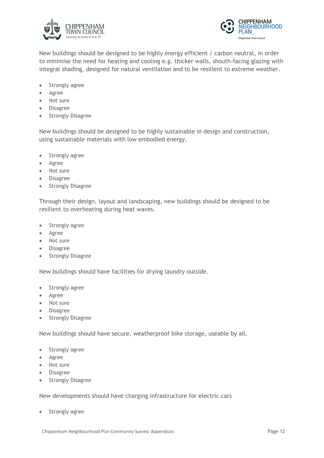



New buildings should be designed to be highly energy efficient / carbon neutral, in order to minimise the need for heating and cooling e.g. thicker walls, shouth-facing glazing with integral shading, designed for natural ventilation and to be resilient to extreme weather.

- Strongly agree
- Agree
- Not sure
- Disagree
- Strongly Disagree

New buildings should be designed to be highly sustainable in design and construction, using sustainable materials with low embodied energy.

- Strongly agree
- Agree
- Not sure
- Disagree
- **Strongly Disagree**

Through their design, layout and landscaping, new buildings should be designed to be resilient to overheating during heat waves.

- Strongly agree
- Agree
- Not sure
- Disagree
- Strongly Disagree

New buildings should have facilities for drying laundry outside.

- Strongly agree
- Agree
- Not sure
- Disagree
- Strongly Disagree

New buildings should have secure, weatherproof bike storage, useable by all.

- Strongly agree
- Agree
- Not sure
- Disagree
- **Strongly Disagree**

New developments should have charging infrastructure for electric cars

Strongly agree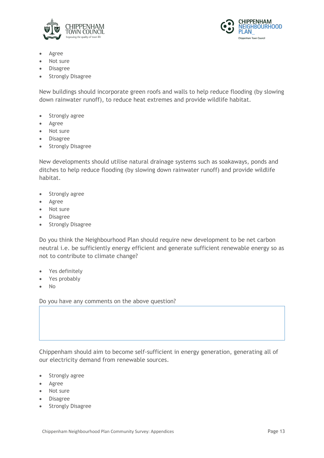



- Agree
- Not sure
- Disagree
- **Strongly Disagree**

New buildings should incorporate green roofs and walls to help reduce flooding (by slowing down rainwater runoff), to reduce heat extremes and provide wildlife habitat.

- Strongly agree
- Agree
- Not sure
- Disagree
- Strongly Disagree

New developments should utilise natural drainage systems such as soakaways, ponds and ditches to help reduce flooding (by slowing down rainwater runoff) and provide wildlife habitat.

- Strongly agree
- Agree
- Not sure
- Disagree
- Strongly Disagree

Do you think the Neighbourhood Plan should require new development to be net carbon neutral i.e. be sufficiently energy efficient and generate sufficient renewable energy so as not to contribute to climate change?

- Yes definitely
- Yes probably
- No

Do you have any comments on the above question?

Chippenham should aim to become self-sufficient in energy generation, generating all of our electricity demand from renewable sources.

- Strongly agree
- Agree
- Not sure
- Disagree
- Strongly Disagree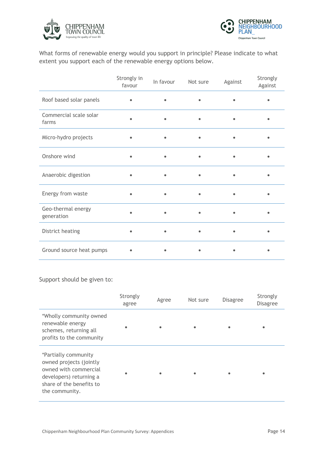



What forms of renewable energy would you support in principle? Please indicate to what extent you support each of the renewable energy options below.

|                                  | Strongly in<br>favour | In favour | Not sure  | Against   | Strongly<br>Against |
|----------------------------------|-----------------------|-----------|-----------|-----------|---------------------|
| Roof based solar panels          |                       |           |           |           |                     |
| Commercial scale solar<br>farms  |                       | $\bullet$ | $\bullet$ | $\bullet$ |                     |
| Micro-hydro projects             |                       | $\bullet$ | $\bullet$ | ٠         |                     |
| Onshore wind                     |                       | $\bullet$ |           | $\bullet$ |                     |
| Anaerobic digestion              | $\bullet$             | $\bullet$ | $\bullet$ | $\bullet$ |                     |
| Energy from waste                |                       | $\bullet$ | ٠         | $\bullet$ |                     |
| Geo-thermal energy<br>generation |                       |           |           |           |                     |
| District heating                 |                       | $\bullet$ | $\bullet$ | $\bullet$ |                     |
| Ground source heat pumps         |                       |           |           | ٠         |                     |

#### Support should be given to:

|                                                                                                                                                   | Strongly<br>agree | Agree     | Not sure  | <b>Disagree</b> | Strongly<br><b>Disagree</b> |
|---------------------------------------------------------------------------------------------------------------------------------------------------|-------------------|-----------|-----------|-----------------|-----------------------------|
| *Wholly community owned<br>renewable energy<br>schemes, returning all<br>profits to the community                                                 | $\bullet$         |           |           |                 |                             |
| *Partially community<br>owned projects (jointly<br>owned with commercial<br>developers) returning a<br>share of the benefits to<br>the community. | ٠                 | $\bullet$ | $\bullet$ |                 | ٠                           |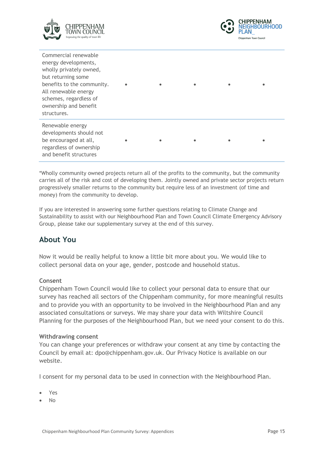



| Commercial renewable<br>energy developments,<br>wholly privately owned,<br>but returning some<br>benefits to the community.<br>All renewable energy<br>schemes, regardless of<br>ownership and benefit<br>structures. |  |  |  |
|-----------------------------------------------------------------------------------------------------------------------------------------------------------------------------------------------------------------------|--|--|--|
| Renewable energy<br>developments should not<br>be encouraged at all,<br>regardless of ownership<br>and benefit structures                                                                                             |  |  |  |

\*Wholly community owned projects return all of the profits to the community, but the community carries all of the risk and cost of developing them. Jointly owned and private sector projects return progressively smaller returns to the community but require less of an investment (of time and money) from the community to develop.

If you are interested in answering some further questions relating to Climate Change and Sustainability to assist with our Neighbourhood Plan and Town Council Climate Emergency Advisory Group, please take our supplementary survey at the end of this survey.

## **About You**

Now it would be really helpful to know a little bit more about you. We would like to collect personal data on your age, gender, postcode and household status.

#### **Consent**

Chippenham Town Council would like to collect your personal data to ensure that our survey has reached all sectors of the Chippenham community, for more meaningful results and to provide you with an opportunity to be involved in the Neighbourhood Plan and any associated consultations or surveys. We may share your data with Wiltshire Council Planning for the purposes of the Neighbourhood Plan, but we need your consent to do this.

#### **Withdrawing consent**

You can change your preferences or withdraw your consent at any time by contacting the Council by email at: dpo@chippenham.gov.uk. Our Privacy Notice is available on our website.

I consent for my personal data to be used in connection with the Neighbourhood Plan.

- Yes
- No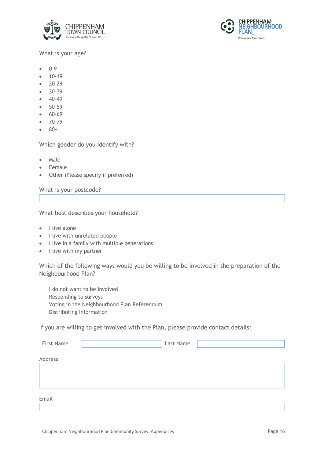



#### What is your age?

- 0-9
- 10-19
- 20-29
- 30-39
- 40-49
- 50-59
- 60-69
- 70-79
- 80+

Which gender do you identify with?

- Male
- **Female**
- Other (Please specify if preferred)

What is your postcode?

What best describes your household?

- I live alone
- I live with unrelated people
- I live in a family with multiple generations
- I live with my partner

Which of the following ways would you be willing to be involved in the preparation of the Neighbourhood Plan?

 I do not want to be involved Responding to surveys Voting in the Neighbourhood Plan Referendum Distributing Information

If you are willing to get involved with the Plan, please provide contact details:

| First Name | Last Name |  |
|------------|-----------|--|
| Address    |           |  |
|            |           |  |
|            |           |  |
| Email      |           |  |
|            |           |  |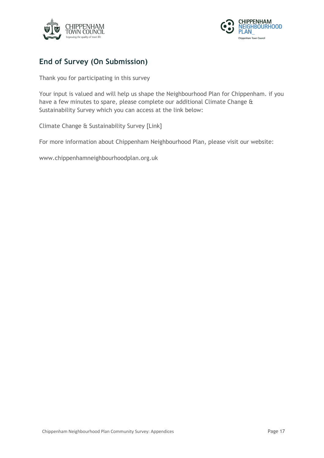



## **End of Survey (On Submission)**

Thank you for participating in this survey

Your input is valued and will help us shape the Neighbourhood Plan for Chippenham. if you have a few minutes to spare, please complete our additional Climate Change & Sustainability Survey which you can access at the link below:

Climate Change & Sustainability Survey [Link]

For more information about Chippenham Neighbourhood Plan, please visit our website:

www.chippenhamneighbourhoodplan.org.uk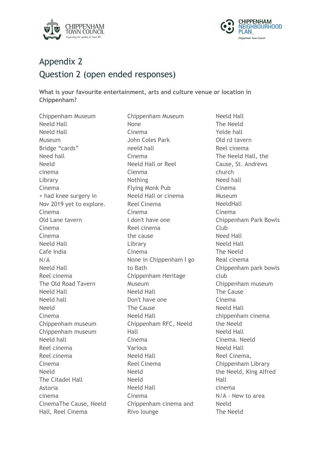



# Appendix 2 Question 2 (open ended responses)

**What is your favourite entertainment, arts and culture venue or location in Chippenham?** 

Chippenham Museum Neeld Hall Neeld Hall Museum Bridge "cards" Need hall Neeld cinema Library Cinema + had knee surgery in Nov 2019 yet to explore. Cinema Old Lane tavern Cinema Cinema Neeld Hall Cafe India N/A Neeld Hall Reel cinema The Old Road Tavern Neeld Hall Neeld hall Neeld Cinema Chippenham museum Chippenham museum Neeld hall Reel cinema Reel cinema Cinema Neeld The Citadel Hall Astoria cinema CinemaThe Cause, Neeld Hall, Reel Cinema

Chippenham Museum None Cinema John Coles Park neeld hall Cinema Neeld Hall or Reel Cienma Nothing Flying Monk Pub Neeld Hall or cinema Reel Cinema Cinema I don't have one Reel cinema the cause Library Cinema None in Chippenham I go to Bath Chippenham Heritage Museum Neeld Hall Don't have one The Cause Neeld Hall Chippenham RFC, Neeld Hall Cinema Various Neeld Hall Reel Cinema Neeld Neeld Neeld Hall Cinema Chippenham cinema and Rivo lounge

Neeld Hall The Neeld Yelde hall Old rd tavern Reel cinema The Neeld Hall, the Cause, St. Andrews church Need hall Cinema Museum NeeldHall Cinema Chippenham Park Bowls Club Need Hall Neeld Hall The Neeld Real cinema Chippenham park bowls club Chippenham museum The Cause Cinema Neeld Hall chippenham cinema the Neeld Neeld Hall Cinema. Neeld Neeld Hall Reel Cinema, Chippenham Library the Neeld, King Alfred Hall cinema N/A - New to area Neeld The Neeld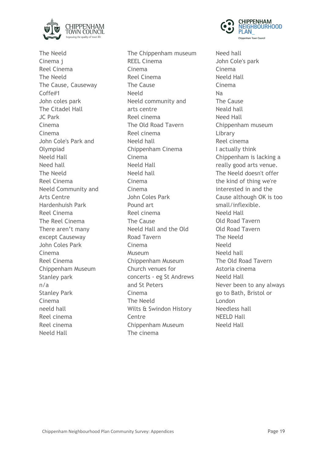

The Neeld Cinema j Reel Cinema The Neeld The Cause, Causeway Coffe#1 John coles park The Citadel Hall JC Park Cinema Cinema John Cole's Park and Olympiad Neeld Hall Need hall The Neeld Reel Cinema Neeld Community and Arts Centre Hardenhuish Park Reel Cinema The Reel Cinema There aren't many except Causeway John Coles Park Cinema Reel Cinema Chippenham Museum Stanley park n/a Stanley Park Cinema neeld hall Reel cinema Reel cinema Neeld Hall

The Chippenham museum REEL Cinema Cinema Reel Cinema The Cause Neeld Neeld community and arts centre Reel cinema The Old Road Tavern Reel cinema Neeld hall Chippenham Cinema Cinema Neeld Hall Neeld hall Cinema Cinema John Coles Park Pound art Reel cinema The Cause Neeld Hall and the Old Road Tavern Cinema Museum Chippenham Museum Church venues for concerts - eg St Andrews and St Peters Cinema The Neeld Wilts & Swindon History Centre Chippenham Museum The cinema



Need hall John Cole's park Cinema Neeld Hall Cinema Na The Cause Neald hall Need Hall Chippenham museum Library Reel cinema I actually think Chippenham is lacking a really good arts venue. The Neeld doesn't offer the kind of thing we're interested in and the Cause although OK is too small/inflexible. Neeld Hall Old Road Tavern Old Road Tavern The Neeld Neeld Neeld hall The Old Road Tavern Astoria cinema Neeld Hall Never been to any always go to Bath, Bristol or London Needless hall NEELD Hall Neeld Hall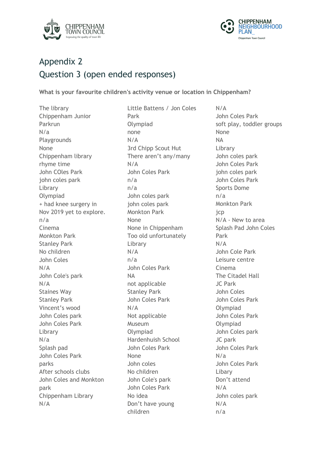



# Appendix 2 Question 3 (open ended responses)

**What is your favourite children's activity venue or location in Chippenham?**

The library Chippenham Junior Parkrun N/a Playgrounds None Chippenham library rhyme time John COles Park john coles park Library Olympiad + had knee surgery in Nov 2019 yet to explore. n/a Cinema Monkton Park Stanley Park No children John Coles N/A John Cole's park N/A Staines Way Stanley Park Vincent's wood John Coles park John Coles Park Library N/a Splash pad John Coles Park parks After schools clubs John Coles and Monkton park Chippenham Library N/A

Little Battens / Jon Coles Park Olympiad none N/A 3rd Chipp Scout Hut There aren't any/many N/A John Coles Park n/a n/a John coles park john coles park Monkton Park None None in Chippenham Too old unfortunately Library N/A n/a John Coles Park NA not applicable Stanley Park John Coles Park N/A Not applicable Museum Olympiad Hardenhuish School John Coles Park None John coles No children John Cole's park John Coles Park No idea Don't have young children

N/A John Coles Park soft play, toddler groups None NA Library John coles park John Coles Park john coles park John Coles Park Sports Dome n/a Monkton Park jcp N/A - New to area Splash Pad John Coles Park N/A John Cole Park Leisure centre Cinema The Citadel Hall JC Park John Coles John Coles Park Olympiad John Coles Park Olympiad John Coles park JC park John Coles Park N/a John Coles Park Libary Don't attend N/A John coles park N/A n/a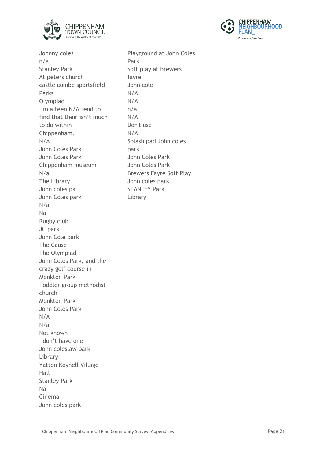



Johnny coles n/a Stanley Park At peters church castle combe sportsfield Parks Olympiad I'm a teen N/A tend to find that their isn't much to do within Chippenham. N/A John Coles Park John Coles Park Chippenham museum N/a The Library John coles pk John Coles park N/a Na Rugby club JC park John Cole park The Cause The Olympiad John Coles Park, and the crazy golf course in Monkton Park Toddler group methodist church Monkton Park John Coles Park N/A N/a Not known I don't have one John coleslaw park Library Yatton Keynell Village Hall Stanley Park Na Cinema John coles park

Playground at John Coles Park Soft play at brewers fayre John cole N/A N/A n/a N/A Don't use N/A Splash pad John coles park John Coles Park John Coles Park Brewers Fayre Soft Play John coles park STANLEY Park Library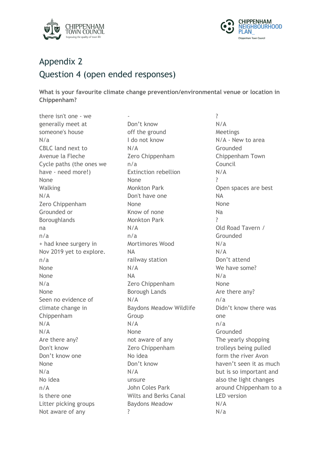



# Appendix 2 Question 4 (open ended responses)

**What is your favourite climate change prevention/environmental venue or location in Chippenham?**

there isn't one - we generally meet at someone's house N/a CBLC land next to Avenue la Fleche Cycle paths (the ones we have - need more!) None Walking N/A Zero Chippenham Grounded or Boroughlands na n/a + had knee surgery in Nov 2019 yet to explore. n/a None None N/a None Seen no evidence of climate change in Chippenham N/A N/A Are there any? Don't know Don't know one None N/a No idea n/A Is there one Litter picking groups Not aware of any

- Don't know off the ground I do not know N/A Zero Chippenham n/a Extinction rebellion None Monkton Park Don't have one None Know of none Monkton Park N/A n/a Mortimores Wood NA railway station N/A NA Zero Chippenham Borough Lands N/A Baydons Meadow Wildlife Group N/A None not aware of any Zero Chippenham No idea Don't know N/A unsure John Coles Park Wilts and Berks Canal Baydons Meadow ?

? N/A Meetings N/A - New to area Grounded Chippenham Town Council N/A ? Open spaces are best NA None Na ? Old Road Tavern / Grounded N/a N/A Don't attend We have some? N/a None Are there any? n/a Didn't know there was one n/a Grounded The yearly shopping trolleys being pulled form the river Avon haven't seen it as much but is so important and also the light changes around Chippenham to a LED version N/A N/a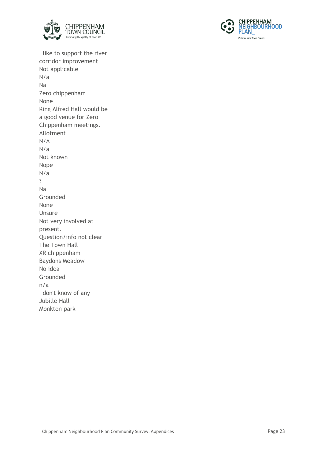



I like to support the river corridor improvement Not applicable N/a Na Zero chippenham None King Alfred Hall would be a good venue for Zero Chippenham meetings. Allotment N/A N/a Not known Nope N/a ? Na Grounded None Unsure Not very involved at present. Question/info not clear The Town Hall XR chippenham Baydons Meadow No idea Grounded n/a I don't know of any Jubille Hall Monkton park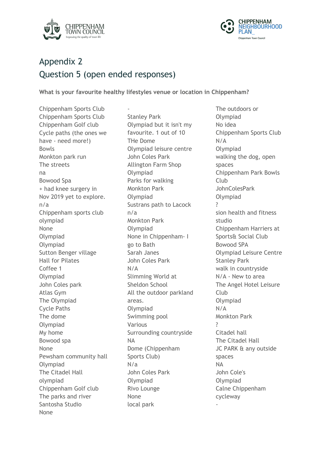



# Appendix 2 Question 5 (open ended responses)

**What is your favourite healthy lifestyles venue or location in Chippenham?**

Chippenham Sports Club Chippenham Sports Club Chippenham Golf club Cycle paths (the ones we have - need more!) Bowls Monkton park run The streets na Bowood Spa + had knee surgery in Nov 2019 yet to explore. n/a Chippenham sports club olympiad None Olympiad Olympiad Sutton Benger village Hall for Pilates Coffee 1 Olympiad John Coles park Atlas Gym The Olympiad Cycle Paths The dome Olympiad My home Bowood spa None Pewsham community hall Olympiad The Citadel Hall olympiad Chippenham Golf club The parks and river Santosha Studio None

- Stanley Park Olympiad but it isn't my favourite. 1 out of 10 THe Dome Olympiad leisure centre John Coles Park Allington Farm Shop Olympiad Parks for walking Monkton Park Olympiad Sustrans path to Lacock n/a Monkton Park Olympiad None in Chippenham- I go to Bath Sarah Janes John Coles Park N/A Slimming World at Sheldon School All the outdoor parkland areas. Olympiad Swimming pool Various Surrounding countryside NA Dome (Chippenham Sports Club) N/a John Coles Park Olympiad Rivo Lounge None local park

The outdoors or Olympiad No idea Chippenham Sports Club N/A Olympiad walking the dog, open spaces Chippenham Park Bowls Club JohnColesPark Olympiad ? sion health and fitness studio Chippenham Harriers at Sports& Social Club Bowood SPA Olympiad Leisure Centre Stanley Park walk in countryside N/A - New to area The Angel Hotel Leisure Club Olympiad N/A Monkton Park ? Citadel hall The Citadel Hall JC PARK & any outside spaces NA John Cole's Olympiad Calne Chippenham cycleway -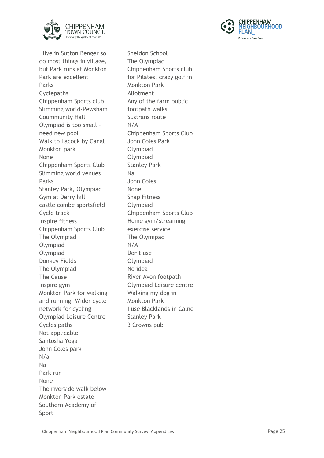



I live in Sutton Benger so do most things in village, but Park runs at Monkton Park are excellent Parks **Cyclepaths** Chippenham Sports club Slimming world-Pewsham Coummunity Hall Olympiad is too small need new pool Walk to Lacock by Canal Monkton park None Chippenham Sports Club Slimming world venues Parks Stanley Park, Olympiad Gym at Derry hill castle combe sportsfield Cycle track Inspire fitness Chippenham Sports Club The Olympiad Olympiad Olympiad Donkey Fields The Olympiad The Cause Inspire gym Monkton Park for walking and running, Wider cycle network for cycling Olympiad Leisure Centre Cycles paths Not applicable Santosha Yoga John Coles park N/a Na Park run None The riverside walk below Monkton Park estate Southern Academy of Sport

Sheldon School The Olympiad Chippenham Sports club for Pilates; crazy golf in Monkton Park Allotment Any of the farm public footpath walks Sustrans route N/A Chippenham Sports Club John Coles Park Olympiad Olympiad Stanley Park Na John Coles None Snap Fitness Olympiad Chippenham Sports Club Home gym/streaming exercise service The Olymipad N/A Don't use Olympiad No idea River Avon footpath Olympiad Leisure centre Walking my dog in Monkton Park I use Blacklands in Calne Stanley Park 3 Crowns pub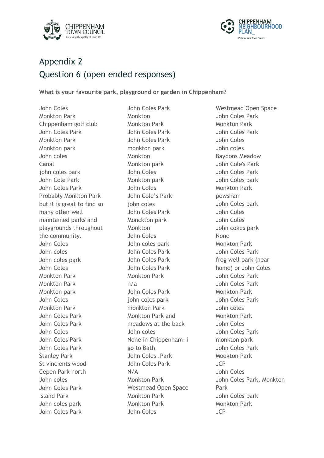



# Appendix 2 Question 6 (open ended responses)

**What is your favourite park, playground or garden in Chippenham?**

John Coles Monkton Park Chippenham golf club John Coles Park Monkton Park Monkton park John coles Canal john coles park John Cole Park John Coles Park Probably Monkton Park but it is great to find so many other well maintained parks and playgrounds throughout the community. John Coles John coles John coles park John Coles Monkton Park Monkton Park Monkton park John Coles Monkton Park John Coles Park John Coles Park John Coles John Coles Park John Coles Park Stanley Park St vincients wood Cepen Park north John coles John Coles Park Island Park John coles park John Coles Park

John Coles Park Monkton Monkton Park John Coles Park John Coles Park monkton park Monkton Monkton park John Coles Monkton park John Coles John Cole's Park john coles John Coles Park Monckton park Monkton John Coles John coles park John Coles Park John Coles Park John Coles Park Monkton Park n/a John Coles Park john coles park monkton Park Monkton Park and meadows at the back John coles None in Chippenham- i go to Bath John Coles .Park John Coles Park N/A Monkton Park Westmead Open Space Monkton Park Monkton Park John Coles

Westmead Open Space John Coles Park Monkton Park John Coles Park John Coles John coles Baydons Meadow John Cole's Park John Coles Park John Coles park Monkton Park pewsham John Coles park John Coles John Coles John cokes park None Monkton Park John Coles Park frog well park (near home) or John Coles John Coles Park John Coles Park Monkton Park John Coles Park John coles Monkton Park John Coles John Coles Park monkton park John Coles Park Mookton Park JCP John Coles John Coles Park, Monkton Park John Coles park Monkton Park JCP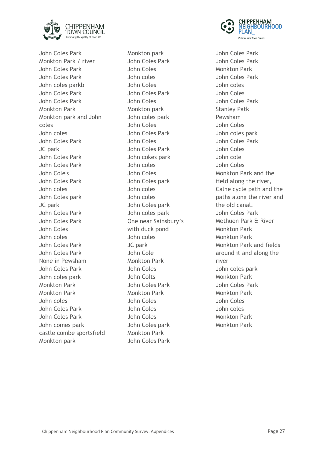

John Coles Park Monkton Park / river John Coles Park John Coles Park John coles parkb John Coles Park John Coles Park Monkton Park Monkton park and John coles John coles John Coles Park JC park John Coles Park John Coles Park John Cole's John Coles Park John coles John Coles park JC park John Coles Park John Coles Park John Coles John coles John Coles Park John Coles Park None in Pewsham John Coles Park John coles park Monkton Park Monkton Park John coles John Coles Park John Coles Park John comes park castle combe sportsfield Monkton park

Monkton park John Coles Park John Coles John coles John Coles John Coles Park John Coles Monkton park John coles park John Coles John Coles Park John Coles John Coles Park John cokes park John coles John Coles John Coles park John coles John coles John Coles park John coles park One near Sainsbury's with duck pond John coles JC park John Cole Monkton Park John Coles John Colts John Coles Park Monkton Park John Coles John Coles John Coles John Coles park Monkton Park John Coles Park



John Coles Park John Coles Park Monkton Park John Coles Park John coles John Coles John Coles Park Stanley Patk Pewsham John Coles John coles park John Coles Park John Coles John cole John Coles Monkton Park and the field along the river, Calne cycle path and the paths along the river and the old canal. John Coles Park Methuen Park & River Monkton Park Monkton Park Monkton Park and fields around it and along the river John coles park Monkton Park John Coles Park Monkton Park John Coles John coles Monkton Park Monkton Park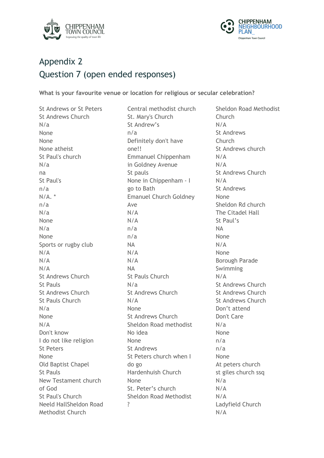



# Appendix 2 Question 7 (open ended responses)

**What is your favourite venue or location for religious or secular celebration?**

St Andrews or St Peters St Andrews Church N/a None None None atheist St Paul's church N/a na St Paul's n/a  $N/A$ .  $*$ n/a N/a None N/a None Sports or rugby club N/A N/A N/A St Andrews Church St Pauls St Andrews Church St Pauls Church N/a None N/A Don't know I do not like religion St Peters None Old Baptist Chapel St Pauls New Testament church of God St Paul's Church Neeld HallSheldon Road Methodist Church

Central methodist church St. Mary's Church St Andrew's n/a Definitely don't have one!! Emmanuel Chippenham in Goldney Avenue St pauls None in Chippenham - I go to Bath Emanuel Church Goldney Ave N/A N/A n/a n/a NA N/A N/A NA St Pauls Church N/a St Andrews Church N/A None St Andrews Church Sheldon Road methodist No idea None St Andrews St Peters church when I do go Hardenhuish Church None St. Peter's church Sheldon Road Methodist ?

Sheldon Road Methodist **Church** N/A St Andrews **Church** St Andrews church N/A N/A St Andrews Church N/A St Andrews None Sheldon Rd church The Citadel Hall St Paul's NA None N/A None Borough Parade Swimming N/A St Andrews Church St Andrews Church St Andrews Church Don't attend Don't Care N/a None n/a n/a None At peters church st giles church ssq N/a N/A N/A Ladyfield Church N/A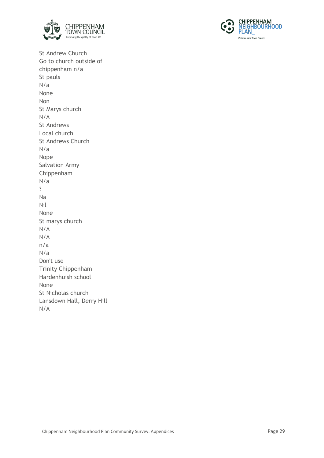



St Andrew Church Go to church outside of chippenham n/a St pauls N/a None Non St Marys church N/A St Andrews Local church St Andrews Church N/a Nope Salvation Army Chippenham N/a ? Na Nil None St marys church N/A N/A n/a N/a Don't use Trinity Chippenham Hardenhuish school None St Nicholas church Lansdown Hall, Derry Hill N/A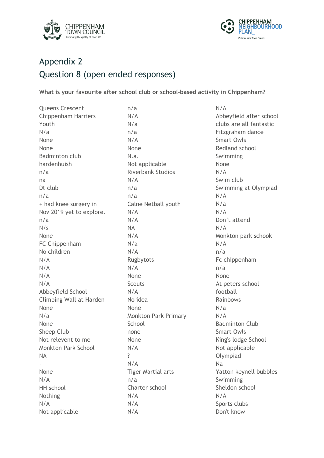



# Appendix 2 Question 8 (open ended responses)

**What is your favourite after school club or school-based activity in Chippenham?** 

Queens Crescent Chippenham Harriers Youth N/a None None Badminton club hardenhuish n/a na Dt club n/a + had knee surgery in Nov 2019 yet to explore. n/a  $N/\varsigma$ None FC Chippenham No children N/A N/A N/A N/A Abbeyfield School Climbing Wall at Harden None N/a None Sheep Club Not relevent to me Monkton Park School NA - None N/A HH school Nothing N/A Not applicable n/a N/A N/a n/a N/A None N.a. Not applicable Riverbank Studios N/A n/a n/a Calne Netball youth N/A N/A NA N/A N/a N/A Rugbytots N/A None **Scouts** N/A No idea None Monkton Park Primary **School** none None N/A ? N/A Tiger Martial arts n/a Charter school N/A N/A N/A None N/A N/A N/a N/A N/A N/A n/a n/a None N/a N/A Na N/A

N/A Abbeyfield after school clubs are all fantastic Fitzgraham dance Smart Owls Redland school Swimming Swim club Swimming at Olympiad Don't attend Monkton park schook Fc chippenham At peters school football Rainbows Badminton Club Smart Owls King's lodge School Not applicable Olympiad Yatton keynell bubbles Swimming Sheldon school Sports clubs Don't know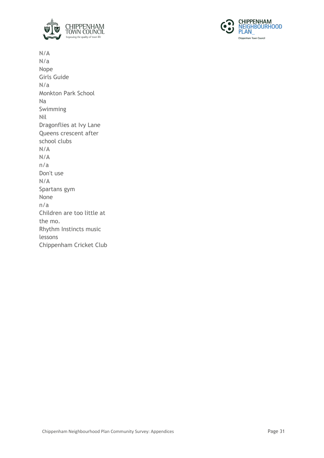



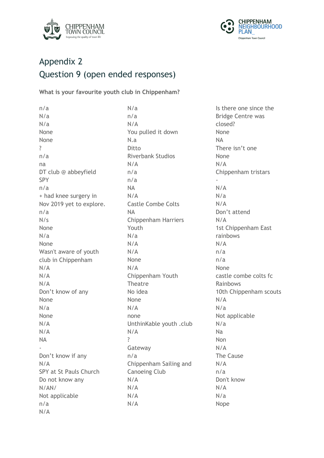



## Appendix 2 Question 9 (open ended responses)

**What is your favourite youth club in Chippenham?**

n/a N/a N/a None None ? n/a na DT club @ abbeyfield SPY n/a + had knee surgery in Nov 2019 yet to explore. n/a  $N/s$ None N/a None Wasn't aware of youth club in Chippenham N/A N/A N/A Don't know of any None N/a None N/A N/A NA - Don't know if any N/A SPY at St Pauls Church Do not know any N/AN/ Not applicable n/a N/A n/a N/A N.a Ditto N/A n/a n/a NA N/A NA Youth N/a N/A N/A None N/A Theatre No idea None N/A none N/A ? Gateway n/a N/A N/A N/A N/A

N/a You pulled it down Riverbank Studios Castle Combe Colts Chippenham Harriers Chippenham Youth UnthinKable youth .club Chippenham Sailing and Canoeing Club

Is there one since the Bridge Centre was closed? None NA There isn't one None N/A Chippenham tristars - N/A N/a N/A Don't attend N/A 1st Chippenham East rainbows N/A n/a n/a None castle combe colts fc Rainbows 10th Chippenham scouts N/A N/a Not applicable N/a Na Non N/A The Cause N/A n/a Don't know N/A N/a Nope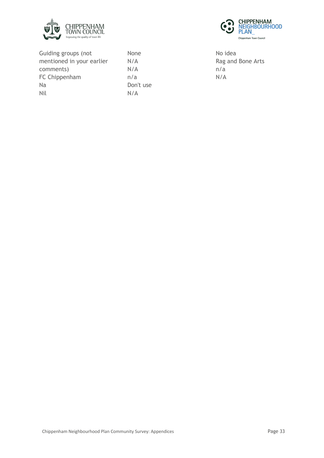



Guiding groups (not mentioned in your earlier comments) FC Chippenham Na Nil

None N/A N/A n/a Don't use N/A

No idea Rag and Bone Arts n/a N/A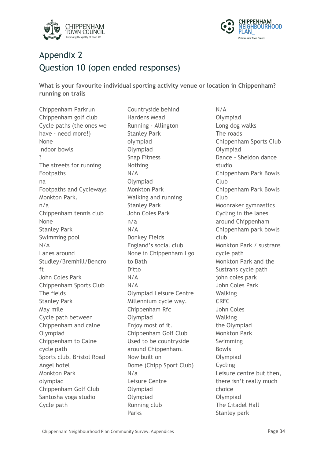



# Appendix 2 Question 10 (open ended responses)

**What is your favourite individual sporting activity venue or location in Chippenham? running on trails**

Chippenham Parkrun Chippenham golf club Cycle paths (the ones we have - need more!) None Indoor bowls ? The streets for running Footpaths na Footpaths and Cycleways Monkton Park. n/a Chippenham tennis club None Stanley Park Swimming pool N/A Lanes around Studley/Bremhill/Bencro ft John Coles Park Chippenham Sports Club The fields Stanley Park May mile Cycle path between Chippenham and calne Olympiad Chippenham to Calne cycle path Sports club, Bristol Road Angel hotel Monkton Park olympiad Chippenham Golf Club Santosha yoga studio Cycle path

Countryside behind Hardens Mead Running - Allington Stanley Park olympiad Olympiad Snap Fitness Nothing N/A Olympiad Monkton Park Walking and running Stanley Park John Coles Park n/a N/A Donkey Fields England's social club None in Chippenham I go to Bath Ditto N/A N/A Olympiad Leisure Centre Millennium cycle way. Chippenham Rfc Olympiad Enjoy most of it. Chippenham Golf Club Used to be countryside around Chippenham. Now built on Dome (Chipp Sport Club) N/a Leisure Centre Olympiad Olympiad Running club Parks

N/A Olympiad Long dog walks The roads Chippenham Sports Club Olympiad Dance - Sheldon dance studio Chippenham Park Bowls Club Chippenham Park Bowls Club Moonraker gymnastics Cycling in the lanes around Chippenham Chippenham park bowls club Monkton Park / sustrans cycle path Monkton Park and the Sustrans cycle path john coles park John Coles Park Walking CRFC John Coles Walking the Olympiad Monkton Park Swimming Bowls Olympiad Cycling Leisure centre but then, there isn't really much choice Olympiad The Citadel Hall Stanley park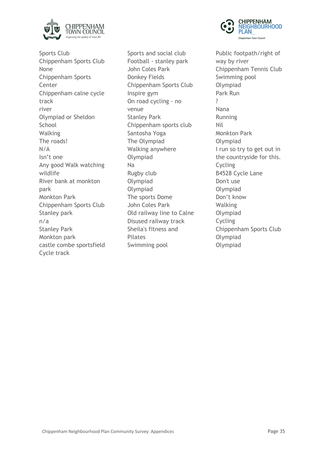

Sports Club Chippenham Sports Club None Chippenham Sports Center Chippenham calne cycle track river Olympiad or Sheldon **School** Walking The roads! N/A Isn't one Any good Walk watching wildlife River bank at monkton park Monkton Park Chippenham Sports Club Stanley park n/a Stanley Park Monkton park castle combe sportsfield Cycle track

Sports and social club Football - stanley park John Coles Park Donkey Fields Chippenham Sports Club Inspire gym On road cycling - no venue Stanley Park Chippenham sports club Santosha Yoga The Olympiad Walking anywhere Olympiad Na Rugby club Olympiad Olympiad The sports Dome John Coles Park Old railway line to Calne Disused railway track Sheila's fitness and **Pilates** Swimming pool



Public footpath/right of way by river Chippenham Tennis Club Swimming pool Olympiad Park Run ? Nana Running Nil Monkton Park Olympiad I run so try to get out in the countryside for this. Cycling B4528 Cycle Lane Don't use Olympiad Don't know Walking Olympiad Cycling Chippenham Sports Club Olympiad Olympiad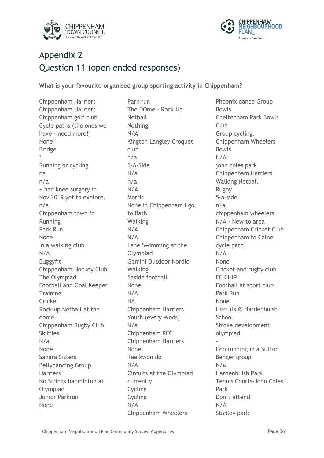



# Appendix 2 Question 11 (open ended responses)

**What is your favourite organised group sporting activity in Chippenham?**

Chippenham Harriers Chippenham Harriers Chippenham golf club Cycle paths (the ones we have - need more!) None Bridge ? Running or cycling na n/a + had knee surgery in Nov 2019 yet to explore. n/a Chippenham town fc Running Park Run None In a walking club N/A Buggyfit Chippenham Hockey Club The Olympiad Football and Goal Keeper **Training** Cricket Rock up Netball at the dome Chippenham Rugby Club Skittles N/a None Sahara Sisters Bellydancing Group **Harriers** No Strings badminton at Olympiad Junior Parkrun None

-

Park run The DOme - Rock Up Netball Nothing N/A Kington Langley Croquet club n/a 5-A-Side N/a n/a N/A Morris None in Chippenham i go to Bath Walking N/A N/A Lane Swimming at the Olympiad Gemini Outdoor Nordic Walking 5aside football None N/A NA Chippenham Harriers Youth (every Weds) N/a Chippenham RFC Chippenham Harriers None Tae kwon do N/A Circuits at the Olympiad currently Cycling Cycling N/A Chippenham Wheelers

Phoenix dance Group Bowls Cheltenham Park Bowls Club Group cycling. Chippenham Wheelers Bowls N/A john coles park Chippenham Harriers Walking Netball Rugby 5-a-side n/a chippenham wheelers N/A - New to area Chippenham Cricket Club Chippenham to Calne cycle path N/A None Cricket and rugby club FC CHIP Football at sport club Park Run None Circuits @ Hardenhuish **School** Stroke development olympiad - I do running in a Sutton Benger group N/a Hardenhuish Park Tennis Courts-John Coles Park Don't attend N/A Stanley park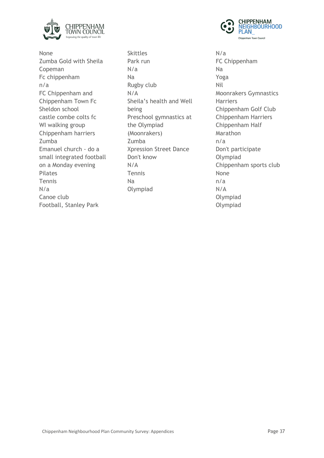

None Zumba Gold with Sheila Copeman Fc chippenham n/a FC Chippenham and Chippenham Town Fc Sheldon school castle combe colts fc WI walking group Chippenham harriers Zumba Emanuel church - do a small integrated football on a Monday evening Pilates Tennis N/a Canoe club Football, Stanley Park

Skittles Park run N/a Na Rugby club N/A Sheila's health and Well being Preschool gymnastics at the Olympiad (Moonrakers) Zumba Xpression Street Dance Don't know N/A Tennis Na Olympiad



N/a FC Chippenham Na Yoga Nil Moonrakers Gymnastics **Harriers** Chippenham Golf Club Chippenham Harriers Chippenham Half **Marathon** n/a Don't participate Olympiad Chippenham sports club None n/a N/A Olympiad Olympiad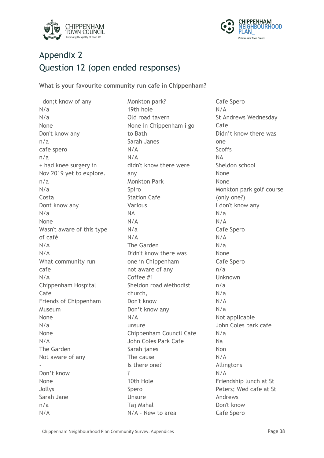



## Appendix 2 Question 12 (open ended responses)

**What is your favourite community run cafe in Chippenham?**

I don;t know of any N/a N/a None Don't know any n/a cafe spero n/a + had knee surgery in Nov 2019 yet to explore. n/a N/a Costa Dont know any N/a None Wasn't aware of this type of café N/A N/A What community run cafe N/A Chippenham Hospital Cafe Friends of Chippenham Museum None N/a None N/A The Garden Not aware of any - Don't know None Jollys Sarah Jane n/a N/A

Monkton park? 19th hole Old road tavern None in Chippenham i go to Bath Sarah Janes N/A N/A didn't know there were any Monkton Park Spiro Station Cafe Various NA N/A N/a N/A The Garden Didn't know there was one in Chippenham not aware of any Coffee #1 Sheldon road Methodist church, Don't know Don't know any N/A unsure Chippenham Council Cafe John Coles Park Cafe Sarah janes The cause Is there one? ? 10th Hole Spero Unsure Taj Mahal N/A - New to area

Cafe Spero N/A St Andrews Wednesday Cafe Didn't know there was one **Scoffs** NA Sheldon school None None Monkton park golf course (only one?) I don't know any N/a N/A Cafe Spero N/A N/a None Cafe Spero n/a Unknown n/a N/a N/A N/a Not applicable John Coles park cafe N/a Na Non N/A Allingtons N/A Friendship lunch at St Peters; Wed cafe at St Andrews Don't know Cafe Spero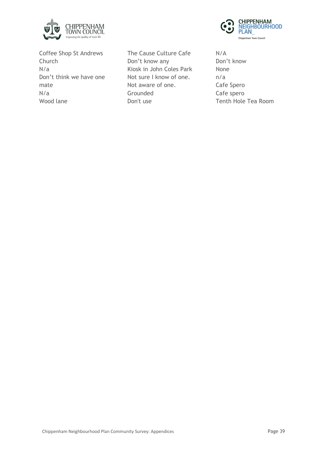

Coffee Shop St Andrews Church N/a Don't think we have one mate N/a Wood lane

The Cause Culture Cafe Don't know any Kiosk in John Coles Park Not sure I know of one. Not aware of one. **Grounded** Don't use



N/A Don't know None n/a Cafe Spero Cafe spero Tenth Hole Tea Room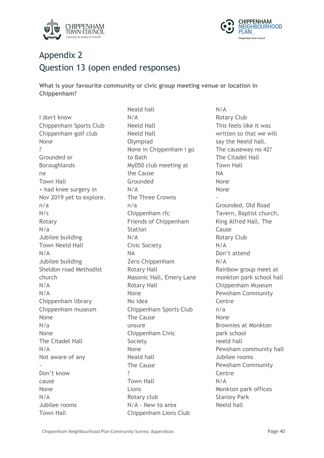



## Appendix 2 Question 13 (open ended responses)

**What is your favourite community or civic group meeting venue or location in Chippenham?**

I don't know Chippenham Sports Club Chippenham golf club None ? Grounded or Boroughlands na Town Hall + had knee surgery in Nov 2019 yet to explore. n/a  $N/\varsigma$ Rotary N/a Jubilee building Town Neeld Hall N/A Jubilee building Sheldon road Methodist church N/A N/A Chippenham library Chippenham museum None N/a None The Citadel Hall N/A Not aware of any - Don't know cause None N/A Jubilee rooms Town Hall

Neald hall N/A Neeld Hall Neeld Hall Olympiad None in Chippenham i go to Bath My050 club meeting at the Cause Grounded N/A The Three Crowns n/a Chippenham rfc Friends of Chippenham **Station** N/A Civic Society NA Zero Chippenham Rotary Hall Masonic Hall, Emery Lane Rotary Hall None No idea Chippenham Sports Club The Cause unsure Chippenham Civic Society None Neald hall The Cause ? Town Hall Lions Rotary club N/A - New to area Chippenham Lions Club

N/A Rotary Club This feels like it was written so that we will say the Neeld hall. The causeway no 42? The Citadel Hall Town Hall NA None None - Grounded, Old Road Tavern, Baptist church, King Alfred Hall, The Cause Rotary Club N/A Don't attend N/A Rainbow group meet at monkton park school hall Chippenham Museum Pewsham Community Centre n/a None Brownies at Monkton park school neeld hall Pewsham community hall Jubilee rooms Pewsham Community Centre N/A Monkton park offices Stanley Park Neeld hall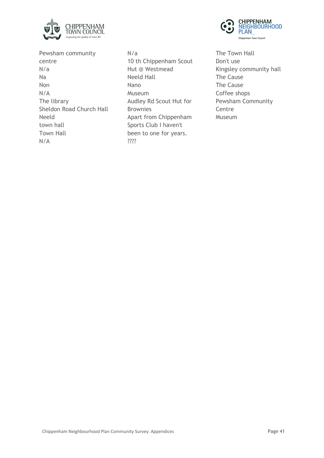

**CHIPPENHAM<br>NEIGHBOURHOOD** PLAN Chippenham Town Council

Pewsham community centre N/a Na Non N/A The library Sheldon Road Church Hall Neeld town hall Town Hall N/A

N/a 10 th Chippenham Scout Hut @ Westmead Neeld Hall Nano Museum Audley Rd Scout Hut for Brownies Apart from Chippenham Sports Club I haven't been to one for years. ????

The Town Hall Don't use Kingsley community hall The Cause The Cause Coffee shops Pewsham Community **Centre** Museum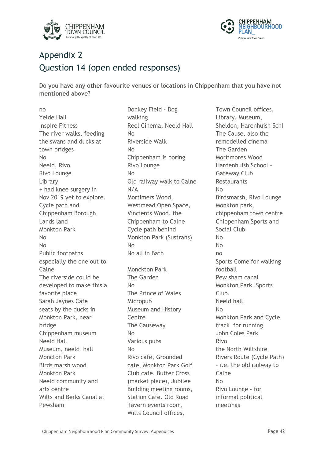



## Appendix 2 Question 14 (open ended responses)

**Do you have any other favourite venues or locations in Chippenham that you have not mentioned above?**

no Yelde Hall Inspire Fitness The river walks, feeding the swans and ducks at town bridges No Neeld, Rivo Rivo Lounge Library + had knee surgery in Nov 2019 yet to explore. Cycle path and Chippenham Borough Lands land Monkton Park  $N<sub>0</sub>$ No Public footpaths especially the one out to Calne The riverside could be developed to make this a favorite place Sarah Jaynes Cafe seats by the ducks in Monkton Park, near bridge Chippenham museum Neeld Hall Museum, neeld hall Moncton Park Birds marsh wood Monkton Park Neeld community and arts centre Wilts and Berks Canal at Pewsham

Donkey Field - Dog walking Reel Cinema, Neeld Hall No Riverside Walk No Chippenham is boring Rivo Lounge No Old railway walk to Calne N/A Mortimers Wood, Westmead Open Space, Vincients Wood, the Chippenham to Calne Cycle path behind Monkton Park (Sustrans) No No all in Bath Monckton Park The Garden No The Prince of Wales Micropub Museum and History **Centre** The Causeway No Various pubs No Rivo cafe, Grounded cafe, Monkton Park Golf Club cafe, Butter Cross (market place), Jubilee Building meeting rooms, Station Cafe. Old Road Tavern events room, Wilts Council offices,

Town Council offices, Library, Museum, Sheldon, Harenhuish Schl The Cause, also the remodelled cinema The Garden Mortimores Wood Hardenhuish School - Gateway Club **Restaurants** No Birdsmarsh, Rivo Lounge Monkton park, chippenham town centre Chippenham Sports and Social Club  $N_{\Omega}$ No no Sports Come for walking football Pew sham canal Monkton Park. Sports Club. Neeld hall No Monkton Park and Cycle track for running John Coles Park Rivo the North Wiltshire Rivers Route (Cycle Path) - i.e. the old railway to Calne No Rivo Lounge - for informal political meetings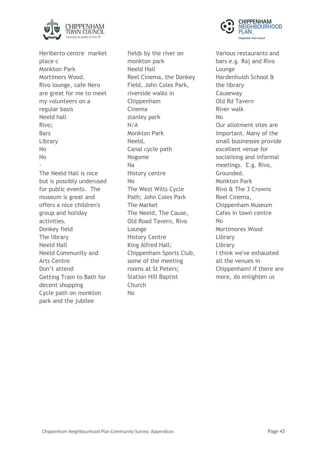

Heriberto centre market place c Monkton Park Mortimers Wood. Rivo lounge, cafe Nero are great for me to meet my volunteers on a regular basis Neeld hall Rivo; Bars Library No No - The Neeld Hall is nice but is possibly underused for public events. The museum is great and offers a nice children's group and holiday activities. Donkey field The library Neeld Hall Neeld Community and Arts Centre Don't attend Getting Train to Bath for decent shopping Cycle path on monkton park and the jubilee

fields by the river on monkton park Neeld Hall Reel Cinema, the Donkey Field, John Coles Park, riverside walks in Chippenham Cinema stanley park N/A Monkton Park Neeld, Canal cycle path Nogome Na History centre No The West Wilts Cycle Path; John Coles Park The Market The Neeld, The Cause, Old Road Tavern, Rivo Lounge History Centre King Alfred Hall; Chippenham Sports Club, some of the meeting rooms at St Peters; Station Hill Baptist Church No



Various restaurants and bars e.g. Raj and Rivo Lounge Hardenhuish School & the library Causeway Old Rd Tavern River walk No Our allotment sites are important. Many of the small businesses provide excellent venue for socialising and informal meetings. E.g. Rivo, Grounded. Monkton Park Rivo & The 3 Crowns Reel Cinema, Chippenham Museum Cafes in town centre No Mortimores Wood Library Library I think we've exhausted all the venues in Chippenham! If there are more, do enlighten us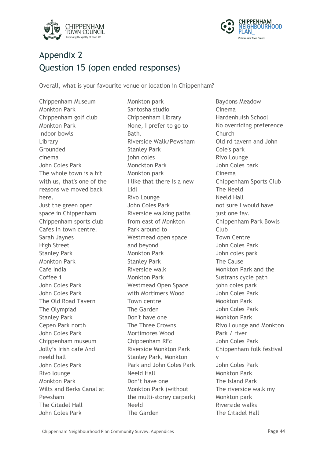



## Appendix 2 Question 15 (open ended responses)

Overall, what is your favourite venue or location in Chippenham?

Chippenham Museum Monkton Park Chippenham golf club Monkton Park Indoor bowls Library Grounded cinema John Coles Park The whole town is a hit with us, that's one of the reasons we moved back here. Just the green open space in Chippenham Chippenham sports club Cafes in town centre. Sarah Jaynes High Street Stanley Park Monkton Park Cafe India Coffee 1 John Coles Park John Coles Park The Old Road Tavern The Olympiad Stanley Park Cepen Park north John Coles Park Chippenham museum Jolly's Irish cafe And neeld hall John Coles Park Rivo lounge Monkton Park Wilts and Berks Canal at Pewsham The Citadel Hall John Coles Park

Monkton park Santosha studio Chippenham Library None, I prefer to go to **Bath** Riverside Walk/Pewsham Stanley Park john coles Monckton Park Monkton park I like that there is a new Lidl Rivo Lounge John Coles Park Riverside walking paths from east of Monkton Park around to Westmead open space and beyond Monkton Park Stanley Park Riverside walk Monkton Park Westmead Open Space with Mortimers Wood Town centre The Garden Don't have one The Three Crowns Mortimores Wood Chippenham RFc Riverside Monkton Park Stanley Park, Monkton Park and John Coles Park Neeld Hall Don't have one Monkton Park (without the multi-storey carpark) Neeld The Garden

Baydons Meadow Cinema Hardenhuish School No overriding preference Church Old rd tavern and John Cole's park Rivo Lounge John Coles park Cinema Chippenham Sports Club The Neeld Neeld Hall not sure I would have just one fav. Chippenham Park Bowls Club Town Centre John Coles Park John coles park The Cause Monkton Park and the Sustrans cycle path john coles park John Coles Park Mookton Park John Coles Park Monkton Park Rivo Lounge and Monkton Park / river John Coles Park Chippenham folk festival v John Coles Park Monkton Park The Island Park The riverside walk my Monkton park Riverside walks The Citadel Hall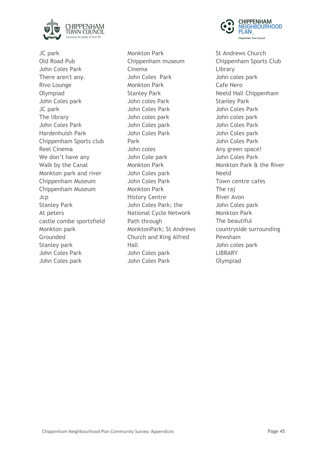

JC park Old Road Pub John Coles Park There aren't any. Rivo Lounge Olympiad John Coles park JC park The library John Coles Park Hardenhuish Park Chippenham Sports club Reel Cinema We don't have any Walk by the Canal Monkton park and river Chippenham Museum Chippenham Museum Jcp Stanley Park At peters castle combe sportsfield Monkton park Grounded Stanley park John Coles Park John Coles park

Monkton Park Chippenham museum Cinema John Coles Park Monkton Park Stanley Park John coles Park John Coles Park John coles park John Coles park John Coles Park Park John coles John Cole park Monkton Park John Coles park John Coles Park Monkton Park History Centre John Coles Park; the National Cycle Network Path through MonktonPark; St Andrews Church and King Alfred Hall John Coles park John Coles Park



St Andrews Church Chippenham Sports Club Library John coles park Cafe Nero Neeld Hall Chippenham Stanley Park John Coles Park John coles park John Coles Park John Coles park John Coles Park Any green space! John Coles Park Monkton Park & the River Neeld Town centre cafes The raj River Avon John Coles park Monkton Park The beautiful countryside surrounding Pewsham John coles park **LIBRARY** Olympiad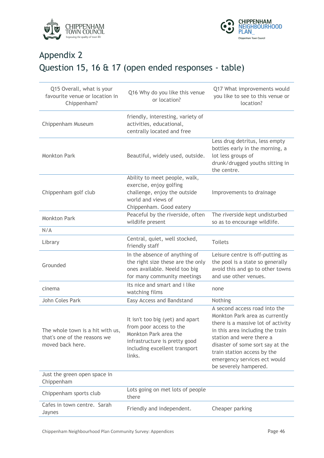



# Appendix 2 Question 15, 16 & 17 (open ended responses - table)

| Q15 Overall, what is your<br>favourite venue or location in<br>Chippenham?           | Q16 Why do you like this venue<br>or location?                                                                                                                   | Q17 What improvements would<br>you like to see to this venue or<br>location?                                                                                                                                                                                                                      |
|--------------------------------------------------------------------------------------|------------------------------------------------------------------------------------------------------------------------------------------------------------------|---------------------------------------------------------------------------------------------------------------------------------------------------------------------------------------------------------------------------------------------------------------------------------------------------|
| Chippenham Museum                                                                    | friendly, interesting, variety of<br>activities, educational,<br>centrally located and free                                                                      |                                                                                                                                                                                                                                                                                                   |
| <b>Monkton Park</b>                                                                  | Beautiful, widely used, outside.                                                                                                                                 | Less drug detritus, less empty<br>bottles early in the morning, a<br>lot less groups of<br>drunk/drugged youths sitting in<br>the centre.                                                                                                                                                         |
| Chippenham golf club                                                                 | Ability to meet people, walk,<br>exercise, enjoy golfing<br>challenge, enjoy the outside<br>world and views of<br>Chippenham. Good eatery                        | Improvements to drainage                                                                                                                                                                                                                                                                          |
| <b>Monkton Park</b>                                                                  | Peaceful by the riverside, often<br>wildlife present                                                                                                             | The riverside kept undisturbed<br>so as to encourage wildlife.                                                                                                                                                                                                                                    |
| N/A                                                                                  |                                                                                                                                                                  |                                                                                                                                                                                                                                                                                                   |
| Library                                                                              | Central, quiet, well stocked,<br>friendly staff                                                                                                                  | <b>Toilets</b>                                                                                                                                                                                                                                                                                    |
| Grounded                                                                             | In the absence of anything of<br>the right size these are the only<br>ones available. Neeld too big<br>for many community meetings                               | Leisure centre is off-putting as<br>the pool is a state so generally<br>avoid this and go to other towns<br>and use other venues.                                                                                                                                                                 |
| cinema                                                                               | its nice and smart and i like<br>watching films                                                                                                                  | none                                                                                                                                                                                                                                                                                              |
| John Coles Park                                                                      | Easy Access and Bandstand                                                                                                                                        | Nothing                                                                                                                                                                                                                                                                                           |
| The whole town is a hit with us,<br>that's one of the reasons we<br>moved back here. | It isn't too big (yet) and apart<br>from poor access to the<br>Monkton Park area the<br>infrastructure is pretty good<br>including excellent transport<br>links. | A second access road into the<br>Monkton Park area as currently<br>there is a massive lot of activity<br>in this area including the train<br>station and were there a<br>disaster of some sort say at the<br>train station access by the<br>emergency services ect would<br>be severely hampered. |
| Just the green open space in<br>Chippenham                                           |                                                                                                                                                                  |                                                                                                                                                                                                                                                                                                   |
| Chippenham sports club                                                               | Lots going on met lots of people<br>there                                                                                                                        |                                                                                                                                                                                                                                                                                                   |
| Cafes in town centre. Sarah<br>Jaynes                                                | Friendly and independent.                                                                                                                                        | Cheaper parking                                                                                                                                                                                                                                                                                   |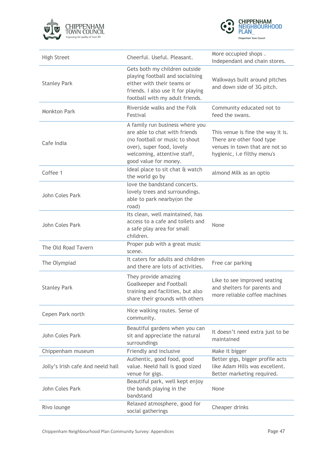



| <b>High Street</b>                | Cheerful. Useful. Pleasant.                                                                                                                                                             | More occupied shops.<br>Independant and chain stores.                                                                           |
|-----------------------------------|-----------------------------------------------------------------------------------------------------------------------------------------------------------------------------------------|---------------------------------------------------------------------------------------------------------------------------------|
| <b>Stanley Park</b>               | Gets both my children outside<br>playing football and socialising<br>either with their teams or<br>friends. I also use it for playing<br>football with my adult friends.                | Walkways built around pitches<br>and down side of 3G pitch.                                                                     |
| <b>Monkton Park</b>               | Riverside walks and the Folk<br>Festival                                                                                                                                                | Community educated not to<br>feed the swans.                                                                                    |
| Cafe India                        | A family run business where you<br>are able to chat with friends<br>(no football or music to shout<br>over), super food, lovely<br>welcoming, attentive staff,<br>good value for money. | This venue is fine the way it is.<br>There are other food type<br>venues in town that are not so<br>hygienic, i.e filthy menu's |
| Coffee 1                          | Ideal place to sit chat & watch<br>the world go by                                                                                                                                      | almond Milk as an optio                                                                                                         |
| John Coles Park                   | love the bandstand concerts.<br>lovely trees and surroundings.<br>able to park nearby(on the<br>road)                                                                                   |                                                                                                                                 |
| John Coles Park                   | Its clean, well maintained, has<br>access to a cafe and toilets and<br>a safe play area for small<br>children.                                                                          | None                                                                                                                            |
| The Old Road Tavern               | Proper pub with a great music<br>scene.                                                                                                                                                 |                                                                                                                                 |
| The Olympiad                      | It caters for adults and children<br>and there are lots of activities.                                                                                                                  | Free car parking                                                                                                                |
| <b>Stanley Park</b>               | They provide amazing<br><b>Goalkeeper and Football</b><br>training and facilities, but also<br>share their grounds with others                                                          | Like to see improved seating<br>and shelters for parents and<br>more reliable coffee machines                                   |
| Cepen Park north                  | Nice walking routes. Sense of<br>community.                                                                                                                                             |                                                                                                                                 |
| John Coles Park                   | Beautiful gardens when you can<br>sit and appreciate the natural<br>surroundings                                                                                                        | It doesn't need extra just to be<br>maintained                                                                                  |
| Chippenham museum                 | Friendly and inclusive                                                                                                                                                                  | Make it bigger                                                                                                                  |
| Jolly's Irish cafe And neeld hall | Authentic, good food, good<br>value. Neeld hall is good sized<br>venue for gigs.                                                                                                        | Better gigs, bigger profile acts<br>like Adam Hills was excellent.<br>Better marketing required.                                |
| John Coles Park                   | Beautiful park, well kept enjoy<br>the bands playing in the<br>bandstand                                                                                                                | None                                                                                                                            |
| Rivo lounge                       | Relaxed atmosphere, good for<br>social gatherings                                                                                                                                       | Cheaper drinks                                                                                                                  |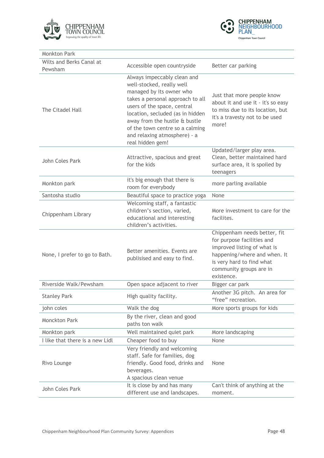



| <b>Monkton Park</b>                 |                                                                                                                                                                                                                                                                                                                     |                                                                                                                                                                                                 |
|-------------------------------------|---------------------------------------------------------------------------------------------------------------------------------------------------------------------------------------------------------------------------------------------------------------------------------------------------------------------|-------------------------------------------------------------------------------------------------------------------------------------------------------------------------------------------------|
| Wilts and Berks Canal at<br>Pewsham | Accessible open countryside                                                                                                                                                                                                                                                                                         | Better car parking                                                                                                                                                                              |
| The Citadel Hall                    | Always impeccably clean and<br>well-stocked, really well<br>managed by its owner who<br>takes a personal approach to all<br>users of the space, central<br>location, secluded (as in hidden<br>away from the hustle & bustle<br>of the town centre so a calming<br>and relaxing atmosphere) - a<br>real hidden gem! | Just that more people know<br>about it and use it - it's so easy<br>to miss due to its location, but<br>it's a travesty not to be used<br>more!                                                 |
| John Coles Park                     | Attractive, spacious and great<br>for the kids                                                                                                                                                                                                                                                                      | Updated/larger play area.<br>Clean, better maintained hard<br>surface area, it is spoiled by<br>teenagers                                                                                       |
| Monkton park                        | it's big enough that there is<br>room for everybody                                                                                                                                                                                                                                                                 | more parling available                                                                                                                                                                          |
| Santosha studio                     | Beautiful space to practice yoga                                                                                                                                                                                                                                                                                    | None                                                                                                                                                                                            |
| Chippenham Library                  | Welcoming staff, a fantastic<br>children's section, varied,<br>educational and interesting<br>children's activities.                                                                                                                                                                                                | More investment to care for the<br>facilites.                                                                                                                                                   |
| None, I prefer to go to Bath.       | Better amenities. Events are<br>publisised and easy to find.                                                                                                                                                                                                                                                        | Chippenham needs better, fit<br>for purpose facilities and<br>improved listing of what is<br>happening/where and when. It<br>is very hard to find what<br>community groups are in<br>existence. |
| Riverside Walk/Pewsham              | Open space adjacent to river                                                                                                                                                                                                                                                                                        | Bigger car park                                                                                                                                                                                 |
| <b>Stanley Park</b>                 | High quality facility.                                                                                                                                                                                                                                                                                              | Another 3G pitch. An area for<br>"free" recreation.                                                                                                                                             |
| john coles                          | Walk the dog                                                                                                                                                                                                                                                                                                        | More sports groups for kids                                                                                                                                                                     |
| <b>Monckton Park</b>                | By the river, clean and good<br>paths ton walk                                                                                                                                                                                                                                                                      |                                                                                                                                                                                                 |
| Monkton park                        | Well maintained quiet park                                                                                                                                                                                                                                                                                          | More landscaping                                                                                                                                                                                |
| I like that there is a new Lidl     | Cheaper food to buy                                                                                                                                                                                                                                                                                                 | None                                                                                                                                                                                            |
| Rivo Lounge                         | Very friendly and welcoming<br>staff. Safe for families, dog<br>friendly. Good food, drinks and<br>beverages.<br>A spacious clean venue                                                                                                                                                                             | None                                                                                                                                                                                            |
| John Coles Park                     | It is close by and has many<br>different use and landscapes.                                                                                                                                                                                                                                                        | Can't think of anything at the<br>moment.                                                                                                                                                       |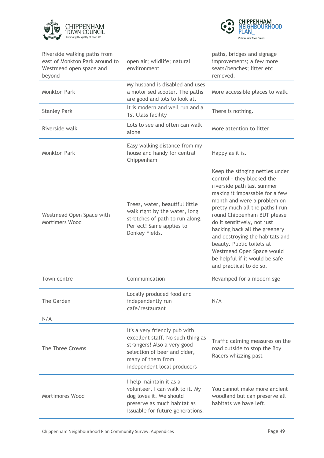



| Riverside walking paths from<br>east of Monkton Park around to<br>Westmead open space and<br>beyond | open air; wildlife; natural<br>enviironment                                                                                                                                           | paths, bridges and signage<br>improvements; a few more<br>seats/benches; litter etc<br>removed.                                                                                                                                                                                                                                                                                                                                                          |
|-----------------------------------------------------------------------------------------------------|---------------------------------------------------------------------------------------------------------------------------------------------------------------------------------------|----------------------------------------------------------------------------------------------------------------------------------------------------------------------------------------------------------------------------------------------------------------------------------------------------------------------------------------------------------------------------------------------------------------------------------------------------------|
| <b>Monkton Park</b>                                                                                 | My husband is disabled and uses<br>a motorised scooter. The paths<br>are good and lots to look at.                                                                                    | More accessible places to walk.                                                                                                                                                                                                                                                                                                                                                                                                                          |
| <b>Stanley Park</b>                                                                                 | It is modern and well run and a<br>1st Class facility                                                                                                                                 | There is nothing.                                                                                                                                                                                                                                                                                                                                                                                                                                        |
| Riverside walk                                                                                      | Lots to see and often can walk<br>alone                                                                                                                                               | More attention to litter                                                                                                                                                                                                                                                                                                                                                                                                                                 |
| <b>Monkton Park</b>                                                                                 | Easy walking distance from my<br>house and handy for central<br>Chippenham                                                                                                            | Happy as it is.                                                                                                                                                                                                                                                                                                                                                                                                                                          |
| Westmead Open Space with<br>Mortimers Wood                                                          | Trees, water, beautiful little<br>walk right by the water, long<br>stretches of path to run along.<br>Perfect! Same applies to<br>Donkey Fields.                                      | Keep the stinging nettles under<br>control - they blocked the<br>riverside path last summer<br>making it impassable for a few<br>month and were a problem on<br>pretty much all the paths I run<br>round Chippenham BUT please<br>do it sensitively, not just<br>hacking back all the greenery<br>and destroying the habitats and<br>beauty. Public toilets at<br>Westmead Open Space would<br>be helpful if it would be safe<br>and practical to do so. |
| Town centre                                                                                         | Communication                                                                                                                                                                         | Revamped for a modern sge                                                                                                                                                                                                                                                                                                                                                                                                                                |
| The Garden                                                                                          | Locally produced food and<br>independently run<br>cafe/restaurant                                                                                                                     | N/A                                                                                                                                                                                                                                                                                                                                                                                                                                                      |
| N/A                                                                                                 |                                                                                                                                                                                       |                                                                                                                                                                                                                                                                                                                                                                                                                                                          |
| The Three Crowns                                                                                    | It's a very friendly pub with<br>excellent staff. No such thing as<br>strangers! Also a very good<br>selection of beer and cider,<br>many of them from<br>independent local producers | Traffic calming measures on the<br>road outside to stop the Boy<br>Racers whizzing past                                                                                                                                                                                                                                                                                                                                                                  |
| <b>Mortimores Wood</b>                                                                              | I help maintain it as a<br>volunteer. I can walk to it. My<br>dog loves it. We should<br>preserve as much habitat as<br>issuable for future generations.                              | You cannot make more ancient<br>woodland but can preserve all<br>habitats we have left.                                                                                                                                                                                                                                                                                                                                                                  |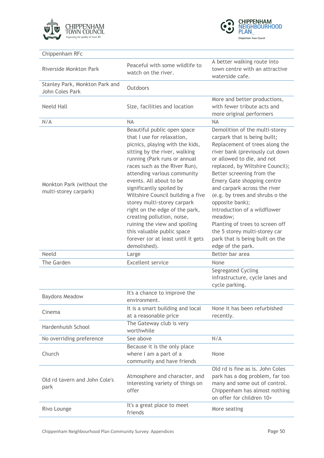



| Chippenham RFc                                     |                                                                                                                                                                                                                                                                                                                                                                                                                                                                                                                                               |                                                                                                                                                                                                                                                                                                                                                                                                                                                                                                                               |
|----------------------------------------------------|-----------------------------------------------------------------------------------------------------------------------------------------------------------------------------------------------------------------------------------------------------------------------------------------------------------------------------------------------------------------------------------------------------------------------------------------------------------------------------------------------------------------------------------------------|-------------------------------------------------------------------------------------------------------------------------------------------------------------------------------------------------------------------------------------------------------------------------------------------------------------------------------------------------------------------------------------------------------------------------------------------------------------------------------------------------------------------------------|
| Riverside Monkton Park                             | Peaceful with some wildlife to<br>watch on the river.                                                                                                                                                                                                                                                                                                                                                                                                                                                                                         | A better walking route into<br>town centre with an attractive<br>waterside cafe.                                                                                                                                                                                                                                                                                                                                                                                                                                              |
| Stanley Park, Monkton Park and<br>John Coles Park  | Outdoors                                                                                                                                                                                                                                                                                                                                                                                                                                                                                                                                      |                                                                                                                                                                                                                                                                                                                                                                                                                                                                                                                               |
| <b>Neeld Hall</b>                                  | Size, facilities and location                                                                                                                                                                                                                                                                                                                                                                                                                                                                                                                 | More and better productions,<br>with fewer tribute acts and<br>more original performers                                                                                                                                                                                                                                                                                                                                                                                                                                       |
| N/A                                                | <b>NA</b>                                                                                                                                                                                                                                                                                                                                                                                                                                                                                                                                     | <b>NA</b>                                                                                                                                                                                                                                                                                                                                                                                                                                                                                                                     |
| Monkton Park (without the<br>multi-storey carpark) | Beautiful public open space<br>that I use for relaxation,<br>picnics, playing with the kids,<br>sitting by the river, walking<br>running (Park runs or annual<br>races such as the River Run),<br>attending various community<br>events. All about to be<br>significantly spoiled by<br>Wiltshire Council building a five<br>storey multi-storey carpark<br>right on the edge of the park,<br>creating pollution, noise,<br>ruining the view and spoiling<br>this valuable public space<br>forever (or at least until it gets<br>demolished). | Demolition of the multi-storey<br>carpark that is being built;<br>Replacement of trees along the<br>river bank (previously cut down<br>or allowed to die, and not<br>replaced, by Wiltshire Council);<br>Better screening from the<br>Emery Gate shopping centre<br>and carpark across the river<br>(e.g. by trees and shrubs o the<br>opposite bank);<br>Introduction of a wildflower<br>meadow;<br>Planting of trees to screen off<br>the 5 storey multi-storey car<br>park that is being built on the<br>edge of the park. |
| <b>Neeld</b>                                       | Large                                                                                                                                                                                                                                                                                                                                                                                                                                                                                                                                         | Better bar area                                                                                                                                                                                                                                                                                                                                                                                                                                                                                                               |
| The Garden                                         | <b>Excellent service</b>                                                                                                                                                                                                                                                                                                                                                                                                                                                                                                                      | None<br>Segregated Cycling<br>infrastructure, cycle lanes and<br>cycle parking.                                                                                                                                                                                                                                                                                                                                                                                                                                               |
| <b>Baydons Meadow</b>                              | It's a chance to improve the<br>environment.                                                                                                                                                                                                                                                                                                                                                                                                                                                                                                  |                                                                                                                                                                                                                                                                                                                                                                                                                                                                                                                               |
| Cinema                                             | It is a smart building and local<br>at a reasonable price                                                                                                                                                                                                                                                                                                                                                                                                                                                                                     | None it has been refurbished<br>recently.                                                                                                                                                                                                                                                                                                                                                                                                                                                                                     |
| Hardenhuish School                                 | The Gateway club is very<br>worthwhile                                                                                                                                                                                                                                                                                                                                                                                                                                                                                                        |                                                                                                                                                                                                                                                                                                                                                                                                                                                                                                                               |
| No overriding preference                           | See above                                                                                                                                                                                                                                                                                                                                                                                                                                                                                                                                     | N/A                                                                                                                                                                                                                                                                                                                                                                                                                                                                                                                           |
| Church                                             | Because it is the only place<br>where I am a part of a<br>community and have friends                                                                                                                                                                                                                                                                                                                                                                                                                                                          | None                                                                                                                                                                                                                                                                                                                                                                                                                                                                                                                          |
| Old rd tavern and John Cole's<br>park              | Atmosphere and character, and<br>interesting variety of things on<br>offer                                                                                                                                                                                                                                                                                                                                                                                                                                                                    | Old rd is fine as is. John Coles<br>park has a dog problem, far too<br>many and some out of control.<br>Chippenham has almost nothing<br>on offer for children 10+                                                                                                                                                                                                                                                                                                                                                            |
| Rivo Lounge                                        | It's a great place to meet<br>friends                                                                                                                                                                                                                                                                                                                                                                                                                                                                                                         | More seating                                                                                                                                                                                                                                                                                                                                                                                                                                                                                                                  |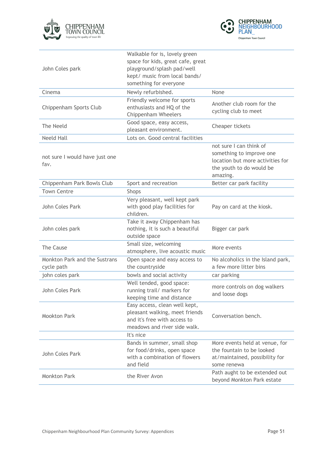



| John Coles park                             | Walkable for is, lovely green<br>space for kids, great cafe, great<br>playground/splash pad/well<br>kept/ music from local bands/<br>something for everyone |                                                                                                                                 |
|---------------------------------------------|-------------------------------------------------------------------------------------------------------------------------------------------------------------|---------------------------------------------------------------------------------------------------------------------------------|
| Cinema                                      | Newly refurbished.                                                                                                                                          | None                                                                                                                            |
| Chippenham Sports Club                      | Friendly welcome for sports<br>enthusiasts and HQ of the<br><b>Chippenham Wheelers</b>                                                                      | Another club room for the<br>cycling club to meet                                                                               |
| The Neeld                                   | Good space, easy access,<br>pleasant environment.                                                                                                           | Cheaper tickets                                                                                                                 |
| <b>Neeld Hall</b>                           | Lots on. Good central facilities                                                                                                                            |                                                                                                                                 |
| not sure I would have just one<br>fav.      |                                                                                                                                                             | not sure I can think of<br>something to improve one<br>location but more activities for<br>the youth to do would be<br>amazing. |
| Chippenham Park Bowls Club                  | Sport and recreation                                                                                                                                        | Better car park facility                                                                                                        |
| <b>Town Centre</b>                          | <b>Shops</b>                                                                                                                                                |                                                                                                                                 |
| John Coles Park                             | Very pleasant, well kept park<br>with good play facilities for<br>children.                                                                                 | Pay on card at the kiosk.                                                                                                       |
| John coles park                             | Take it away Chippenham has<br>nothing, it is such a beautiful<br>outside space                                                                             | Bigger car park                                                                                                                 |
| The Cause                                   | Small size, welcoming<br>atmosphere, live acoustic music                                                                                                    | More events                                                                                                                     |
| Monkton Park and the Sustrans<br>cycle path | Open space and easy access to<br>the countryside                                                                                                            | No alcoholics in the Island park,<br>a few more litter bins                                                                     |
| john coles park                             | bowls and social activity                                                                                                                                   | car parking                                                                                                                     |
| John Coles Park                             | Well tended, good space:<br>running trail/ markers for<br>keeping time and distance                                                                         | more controls on dog walkers<br>and loose dogs                                                                                  |
| <b>Mookton Park</b>                         | Easy access, clean well kept,<br>pleasant walking, meet friends<br>and it's free with access to<br>meadows and river side walk.                             | Conversation bench.                                                                                                             |
|                                             | It's nice                                                                                                                                                   |                                                                                                                                 |
| John Coles Park                             | Bands in summer, small shop<br>for food/drinks, open space<br>with a combination of flowers<br>and field                                                    | More events held at venue, for<br>the fountain to be looked<br>at/maintained, possibility for<br>some renewa                    |
| <b>Monkton Park</b>                         | the River Avon                                                                                                                                              | Path aught to be extended out<br>beyond Monkton Park estate                                                                     |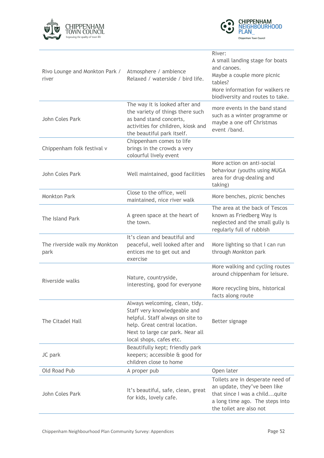



| Rivo Lounge and Monkton Park /<br>river | Atmosphere / ambience<br>Relaxed / waterside / bird life.                                                                                                                                          | River:<br>A small landing stage for boats<br>and canoes.<br>Maybe a couple more picnic<br>tables?<br>More information for walkers re<br>biodiversity and routes to take. |
|-----------------------------------------|----------------------------------------------------------------------------------------------------------------------------------------------------------------------------------------------------|--------------------------------------------------------------------------------------------------------------------------------------------------------------------------|
| John Coles Park                         | The way it is looked after and<br>the variety of things there such<br>as band stand concerts,<br>activities for children, kiosk and<br>the beautiful park itself.                                  | more events in the band stand<br>such as a winter programme or<br>maybe a one off Christmas<br>event /band.                                                              |
| Chippenham folk festival v              | Chippenham comes to life<br>brings in the crowds a very<br>colourful lively event                                                                                                                  |                                                                                                                                                                          |
| John Coles Park                         | Well maintained, good facilities                                                                                                                                                                   | More action on anti-social<br>behaviour (youths using MUGA<br>area for drug-dealing and<br>taking)                                                                       |
| <b>Monkton Park</b>                     | Close to the office, well<br>maintained, nice river walk                                                                                                                                           | More benches, picnic benches                                                                                                                                             |
| The Island Park                         | A green space at the heart of<br>the town.                                                                                                                                                         | The area at the back of Tescos<br>known as Friedberg Way is<br>neglected and the small gully is<br>regularly full of rubbish                                             |
| The riverside walk my Monkton<br>park   | It's clean and beautiful and<br>peaceful, well looked after and<br>entices me to get out and<br>exercise                                                                                           | More lighting so that I can run<br>through Monkton park                                                                                                                  |
| Riverside walks                         | Nature, countryside,                                                                                                                                                                               | More walking and cycling routes<br>around chippenham for leisure.                                                                                                        |
|                                         | interesting, good for everyone                                                                                                                                                                     | More recycling bins, historical<br>facts along route                                                                                                                     |
| The Citadel Hall                        | Always welcoming, clean, tidy.<br>Staff very knowledgeable and<br>helpful. Staff always on site to<br>help. Great central location.<br>Next to large car park. Near all<br>local shops, cafes etc. | Better signage                                                                                                                                                           |
| JC park                                 | Beautifully kept; friendly park<br>keepers; accessible & good for<br>children close to home                                                                                                        |                                                                                                                                                                          |
| Old Road Pub                            | A proper pub                                                                                                                                                                                       | Open later                                                                                                                                                               |
| John Coles Park                         | It's beautiful, safe, clean, great<br>for kids, lovely cafe.                                                                                                                                       | Toilets are in desperate need of<br>an update, they've been like<br>that since I was a childquite<br>a long time ago. The steps into<br>the toilet are also not          |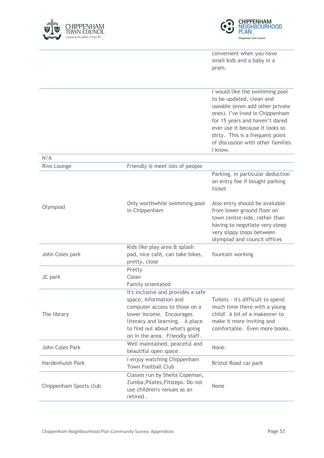



convenient when you have small kids and a baby in a pram.

I would like the swimming pool to be updated, clean and useable (even add other private ones). I've lived in Chippenham for 15 years and haven't dared ever use it because it looks so dirty. This is a frequent point of discussion with other families I know.

| N/A                    |                                                                                                                                                                                                                                  |                                                                                                                                                                                              |
|------------------------|----------------------------------------------------------------------------------------------------------------------------------------------------------------------------------------------------------------------------------|----------------------------------------------------------------------------------------------------------------------------------------------------------------------------------------------|
| Rivo Lounge            | Friendly @ meet lots of people                                                                                                                                                                                                   |                                                                                                                                                                                              |
|                        |                                                                                                                                                                                                                                  | Parking, in particular deduction<br>on entry fee if bought parking<br>ticket                                                                                                                 |
| Olympiad               | Only worthwhile swimming pool<br>in Chippenham                                                                                                                                                                                   | Also entry should be available<br>from lower ground floor on<br>town centre side, rather than<br>having to negotiate very steep<br>very slippy steps between<br>olympiad and council offices |
|                        | Kids like play area & splash                                                                                                                                                                                                     |                                                                                                                                                                                              |
| John Coles park        | pad, nice café, can take bikes,                                                                                                                                                                                                  | fountain working                                                                                                                                                                             |
|                        | pretty, close                                                                                                                                                                                                                    |                                                                                                                                                                                              |
|                        | Pretty                                                                                                                                                                                                                           |                                                                                                                                                                                              |
| JC park                | Clean                                                                                                                                                                                                                            |                                                                                                                                                                                              |
|                        | Family orientated                                                                                                                                                                                                                |                                                                                                                                                                                              |
| The library            | It's inclusive and provides a safe<br>space, information and<br>computer access to those on a<br>lower income. Encourages<br>literacy and learning. A place<br>to find out about what's going<br>on in the area. Friendly staff. | Toilets - it's difficult to spend<br>much time there with a young<br>child! A bit of a makeover to<br>make it more inviting and<br>comfortable. Even more books.                             |
| John Coles Park        | Well maintained, peaceful and<br>beautiful open space.                                                                                                                                                                           | None.                                                                                                                                                                                        |
| Hardenhuish Park       | I enjoy watching Chippenham<br><b>Town Football Club</b>                                                                                                                                                                         | Bristol Road car park                                                                                                                                                                        |
| Chippenham Sports club | Classes run by Sheila Copeman,<br>Zumba, Pilates, Fitsteps. Do not<br>use children's venues as an<br>retired.                                                                                                                    | None                                                                                                                                                                                         |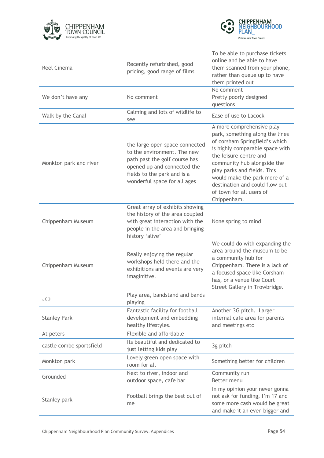



| <b>Reel Cinema</b>       | Recently refurbished, good<br>pricing, good range of films                                                                                                                                   | To be able to purchase tickets<br>online and be able to have<br>them scanned from your phone,<br>rather than queue up to have<br>them printed out                                                                                                                                                                                       |
|--------------------------|----------------------------------------------------------------------------------------------------------------------------------------------------------------------------------------------|-----------------------------------------------------------------------------------------------------------------------------------------------------------------------------------------------------------------------------------------------------------------------------------------------------------------------------------------|
| We don't have any        | No comment                                                                                                                                                                                   | No comment<br>Pretty poorly designed<br>questions                                                                                                                                                                                                                                                                                       |
| Walk by the Canal        | Calming and lots of wildlife to<br>see                                                                                                                                                       | Ease of use to Lacock                                                                                                                                                                                                                                                                                                                   |
| Monkton park and river   | the large open space connected<br>to the environment. The new<br>path past the golf course has<br>opened up and connected the<br>fields to the park and is a<br>wonderful space for all ages | A more comprehensive play<br>park, something along the lines<br>of corsham Springfield's which<br>is highly comparable space with<br>the leisure centre and<br>community hub alongside the<br>play parks and fields. This<br>would make the park more of a<br>destination and could flow out<br>of town for all users of<br>Chippenham. |
| Chippenham Museum        | Great array of exhibits showing<br>the history of the area coupled<br>with great interaction with the<br>people in the area and bringing<br>history 'alive'                                  | None spring to mind                                                                                                                                                                                                                                                                                                                     |
| Chippenham Museum        | Really enjoying the regular<br>workshops held there and the<br>exhibitions and events are very<br>imaginitive.                                                                               | We could do with expanding the<br>area around the museum to be<br>a community hub for<br>Chippenham. There is a lack of<br>a focused space like Corsham<br>has, or a venue like Court<br>Street Gallery in Trowbridge.                                                                                                                  |
| Jcp                      | Play area, bandstand and bands<br>playing                                                                                                                                                    |                                                                                                                                                                                                                                                                                                                                         |
| <b>Stanley Park</b>      | Fantastic facility for football<br>development and embedding<br>healthy lifestyles.                                                                                                          | Another 3G pitch. Larger<br>internal cafe area for parents<br>and meetings etc                                                                                                                                                                                                                                                          |
| At peters                | Flexible and affordable                                                                                                                                                                      |                                                                                                                                                                                                                                                                                                                                         |
| castle combe sportsfield | Its beautiful and dedicated to<br>just letting kids play                                                                                                                                     | 3g pitch                                                                                                                                                                                                                                                                                                                                |
| Monkton park             | Lovely green open space with<br>room for all                                                                                                                                                 | Something better for children                                                                                                                                                                                                                                                                                                           |
| Grounded                 | Next to river, indoor and<br>outdoor space, cafe bar                                                                                                                                         | Community run<br>Better menu                                                                                                                                                                                                                                                                                                            |
| Stanley park             | Football brings the best out of<br>me                                                                                                                                                        | In my opinion your never gonna<br>not ask for funding, I'm 17 and<br>some more cash would be great<br>and make it an even bigger and                                                                                                                                                                                                    |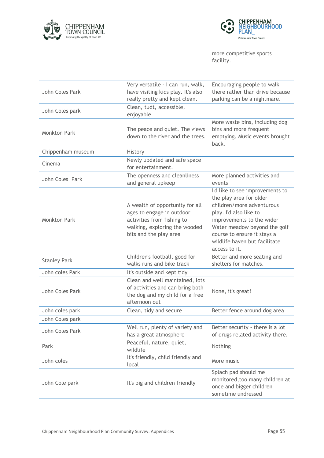



more competitive sports facility.

| John Coles Park     | Very versatile - I can run, walk,<br>have visiting kids play. It's also<br>really pretty and kept clean.                                              | Encouraging people to walk<br>there rather than drive because<br>parking can be a nightmare.                                                                                                                                                                    |
|---------------------|-------------------------------------------------------------------------------------------------------------------------------------------------------|-----------------------------------------------------------------------------------------------------------------------------------------------------------------------------------------------------------------------------------------------------------------|
| John Coles park     | Clean, tudt, accessible,<br>enjoyable                                                                                                                 |                                                                                                                                                                                                                                                                 |
| <b>Monkton Park</b> | The peace and quiet. The views<br>down to the river and the trees.                                                                                    | More waste bins, including dog<br>bins and more frequent<br>emptying. Music events brought<br>back.                                                                                                                                                             |
| Chippenham museum   | History                                                                                                                                               |                                                                                                                                                                                                                                                                 |
| Cinema              | Newly updated and safe space<br>for entertainment.                                                                                                    |                                                                                                                                                                                                                                                                 |
| John Coles Park     | The openness and cleanliness<br>and general upkeep                                                                                                    | More planned activities and<br>events                                                                                                                                                                                                                           |
| <b>Monkton Park</b> | A wealth of opportunity for all<br>ages to engage in outdoor<br>activities from fishing to<br>walking, exploring the wooded<br>bits and the play area | I'd like to see improvements to<br>the play area for older<br>children/more adventurous<br>play. I'd also like to<br>improvements to the wider<br>Water meadow beyond the golf<br>course to ensure it stays a<br>wildlife haven but facilitate<br>access to it. |
| <b>Stanley Park</b> | Children's football, good for<br>walks runs and bike track                                                                                            | Better and more seating and<br>shelters for matches.                                                                                                                                                                                                            |
| John coles Park     | It's outside and kept tidy                                                                                                                            |                                                                                                                                                                                                                                                                 |
| John Coles Park     | Clean and well maintained, lots<br>of activities and can bring both<br>the dog and my child for a free<br>afternoon out                               | None, it's great!                                                                                                                                                                                                                                               |
| John coles park     | Clean, tidy and secure                                                                                                                                | Better fence around dog area                                                                                                                                                                                                                                    |
| John Coles park     |                                                                                                                                                       |                                                                                                                                                                                                                                                                 |
| John Coles Park     | Well run, plenty of variety and<br>has a great atmosphere                                                                                             | Better security - there is a lot<br>of drugs related activity there.                                                                                                                                                                                            |
| Park                | Peaceful, nature, quiet,<br>wildlife                                                                                                                  | Nothing                                                                                                                                                                                                                                                         |
| John coles          | It's friendly, child friendly and<br>local                                                                                                            | More music                                                                                                                                                                                                                                                      |
| John Cole park      | It's big and children friendly                                                                                                                        | Splach pad should me<br>monitored, too many children at<br>once and bigger children<br>sometime undressed                                                                                                                                                       |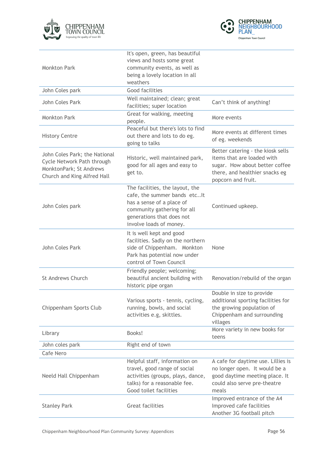



| <b>Monkton Park</b>                                                                                                   | It's open, green, has beautiful<br>views and hosts some great<br>community events, as well as<br>being a lovely location in all<br>weathers                                         |                                                                                                                                                           |
|-----------------------------------------------------------------------------------------------------------------------|-------------------------------------------------------------------------------------------------------------------------------------------------------------------------------------|-----------------------------------------------------------------------------------------------------------------------------------------------------------|
| John Coles park                                                                                                       | Good facilities                                                                                                                                                                     |                                                                                                                                                           |
| John Coles Park                                                                                                       | Well maintained; clean; great<br>facilities; super location                                                                                                                         | Can't think of anything!                                                                                                                                  |
| <b>Monkton Park</b>                                                                                                   | Great for walking, meeting<br>people.                                                                                                                                               | More events                                                                                                                                               |
| <b>History Centre</b>                                                                                                 | Peaceful but there's lots to find<br>out there and lots to do eg.<br>going to talks                                                                                                 | More events at different times<br>of eg. weekends                                                                                                         |
| John Coles Park; the National<br>Cycle Network Path through<br>MonktonPark; St Andrews<br>Church and King Alfred Hall | Historic, well maintained park,<br>good for all ages and easy to<br>get to.                                                                                                         | Better catering - the kiosk sells<br>items that are loaded with<br>sugar. How about better coffee<br>there, and healthier snacks eg<br>popcorn and fruit. |
| John Coles park                                                                                                       | The facilities, the layout, the<br>cafe, the summer bands etclt<br>has a sense of a place of<br>community gathering for all<br>generations that does not<br>involve loads of money. | Continued upkeep.                                                                                                                                         |
| John Coles Park                                                                                                       | It is well kept and good<br>facilities. Sadly on the northern<br>side of Chippenham. Monkton<br>Park has potential now under<br>control of Town Council                             | None                                                                                                                                                      |
| <b>St Andrews Church</b>                                                                                              | Friendly people; welcoming;<br>beautiful ancient building with<br>historic pipe organ                                                                                               | Renovation/rebuild of the organ                                                                                                                           |
| Chippenham Sports Club                                                                                                | Various sports - tennis, cycling,<br>running, bowls, and social<br>activities e.g, skittles.                                                                                        | Double in size to provide<br>additional sporting facilities for<br>the growing population of<br>Chippenham and surrounding<br>villages                    |
| Library                                                                                                               | Books!                                                                                                                                                                              | More variety in new books for<br>teens                                                                                                                    |
| John coles park                                                                                                       | Right end of town                                                                                                                                                                   |                                                                                                                                                           |
| Cafe Nero                                                                                                             |                                                                                                                                                                                     |                                                                                                                                                           |
| Neeld Hall Chippenham                                                                                                 | Helpful staff, information on<br>travel, good range of social<br>activities (groups, plays, dance,<br>talks) for a reasonable fee.<br>Good toilet facilities                        | A cafe for daytime use. Lillies is<br>no longer open. It would be a<br>good daytime meeting place. It<br>could also serve pre-theatre<br>meals            |
| <b>Stanley Park</b>                                                                                                   | <b>Great facilities</b>                                                                                                                                                             | Improved entrance of the A4<br>Improved cafe facilities<br>Another 3G football pitch                                                                      |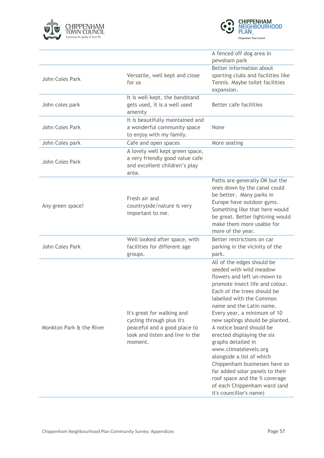



|                          |                                                                                                                                       | A fenced off dog area in<br>pewsham park                                                                                                                                                                                                                                                                                                                                                                                                                                                                                                                                               |
|--------------------------|---------------------------------------------------------------------------------------------------------------------------------------|----------------------------------------------------------------------------------------------------------------------------------------------------------------------------------------------------------------------------------------------------------------------------------------------------------------------------------------------------------------------------------------------------------------------------------------------------------------------------------------------------------------------------------------------------------------------------------------|
| John Coles Park          | Versatile, well kept and close<br>for us                                                                                              | Better information about<br>sporting clubs and facilities like<br>Tennis. Maybe toilet facilities<br>expansion.                                                                                                                                                                                                                                                                                                                                                                                                                                                                        |
| John coles park          | It is well kept, the bandstand<br>gets used, it is a well used<br>amenity                                                             | Better cafe facilities                                                                                                                                                                                                                                                                                                                                                                                                                                                                                                                                                                 |
| John Coles Park          | It is beautifully maintained and<br>a wonderful community space<br>to enjoy with my family.                                           | None                                                                                                                                                                                                                                                                                                                                                                                                                                                                                                                                                                                   |
| John Coles park          | Cafe and open spaces                                                                                                                  | More seating                                                                                                                                                                                                                                                                                                                                                                                                                                                                                                                                                                           |
| John Coles Park          | A lovely well kept green space,<br>a very friendly good value cafe<br>and excellent children's play<br>area.                          |                                                                                                                                                                                                                                                                                                                                                                                                                                                                                                                                                                                        |
| Any green space!         | Fresh air and<br>countryside/nature is very<br>important to me.                                                                       | Paths are generally OK but the<br>ones down by the canal could<br>be better. Many parks in<br>Europe have outdoor gyms.<br>Something like that here would<br>be great. Better lightning would<br>make them more usable for<br>more of the year.                                                                                                                                                                                                                                                                                                                                        |
| John Coles Park          | Well looked after space, with<br>facilities for different age<br>groups.                                                              | Better restrictions on car<br>parking in the vicinity of the<br>park.                                                                                                                                                                                                                                                                                                                                                                                                                                                                                                                  |
| Monkton Park & the River | It's great for walking and<br>cycling through plus it's<br>peaceful and a good place to<br>look and listen and live in the<br>moment. | All of the edges should be<br>seeded with wild meadow<br>flowers and left un-mown to<br>promote insect life and colour.<br>Each of the trees should be<br>labelled with the Common<br>name and the Latin name.<br>Every year, a minimum of 10<br>new saplings should be planted.<br>A notice board should be<br>erected displaying the six<br>graphs detailed in<br>www.climatelevels.org<br>alongside a list of which<br>Chippenham businesses have so<br>far added solar panels to their<br>roof space and the % coverage<br>of each Chippenham ward (and<br>it's councillor's name) |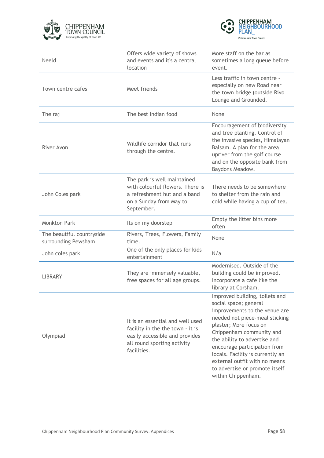



| Neeld                                            | Offers wide variety of shows<br>and events and it's a central<br>location                                                                            | More staff on the bar as<br>sometimes a long queue before<br>event.                                                                                                                                                                                                                                                                                                           |
|--------------------------------------------------|------------------------------------------------------------------------------------------------------------------------------------------------------|-------------------------------------------------------------------------------------------------------------------------------------------------------------------------------------------------------------------------------------------------------------------------------------------------------------------------------------------------------------------------------|
| Town centre cafes                                | Meet friends                                                                                                                                         | Less traffic in town centre -<br>especially on new Road near<br>the town bridge (outside Rivo<br>Lounge and Grounded.                                                                                                                                                                                                                                                         |
| The raj                                          | The best Indian food                                                                                                                                 | None                                                                                                                                                                                                                                                                                                                                                                          |
| River Avon                                       | Wildlife corridor that runs<br>through the centre.                                                                                                   | Encouragement of biodiversity<br>and tree planting. Control of<br>the invasive species, Himalayan<br>Balsam. A plan for the area<br>upriver from the golf course<br>and on the opposite bank from<br>Baydons Meadow.                                                                                                                                                          |
| John Coles park                                  | The park is well maintained<br>with colourful flowers. There is<br>a refreshment hut and a band<br>on a Sunday from May to<br>September.             | There needs to be somewhere<br>to shelter from the rain and<br>cold while having a cup of tea.                                                                                                                                                                                                                                                                                |
| Monkton Park                                     | Its on my doorstep                                                                                                                                   | Empty the litter bins more<br>often                                                                                                                                                                                                                                                                                                                                           |
| The beautiful countryside<br>surrounding Pewsham | Rivers, Trees, Flowers, Family<br>time.                                                                                                              | None                                                                                                                                                                                                                                                                                                                                                                          |
| John coles park                                  | One of the only places for kids<br>entertainment                                                                                                     | N/a                                                                                                                                                                                                                                                                                                                                                                           |
| <b>LIBRARY</b>                                   | They are immensely valuable,<br>free spaces for all age groups.                                                                                      | Modernised. Outside of the<br>building could be improved.<br>Incorporate a cafe like the<br>library at Corsham.                                                                                                                                                                                                                                                               |
| Olympiad                                         | It is an essential and well used<br>facility in the the town - it is<br>easily accessible and provides<br>all round sporting activity<br>facilities. | Improved building, toilets and<br>social space; general<br>improvements to the venue are<br>needed not piece-meal sticking<br>plaster; More focus on<br>Chippenham community and<br>the ability to advertise and<br>encourage participation from<br>locals. Facility is currently an<br>external outfit with no means<br>to advertise or promote itself<br>within Chippenham. |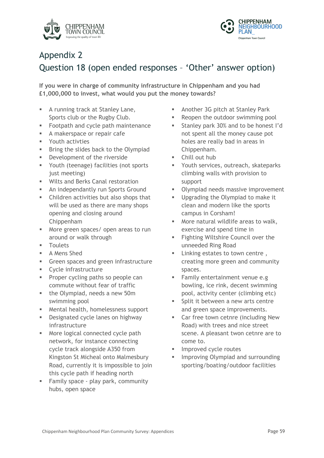



#### Appendix 2

#### Question 18 (open ended responses – 'Other' answer option)

**If you were in charge of community infrastructure in Chippenham and you had £1,000,000 to invest, what would you put the money towards?**

- § A running track at Stanley Lane, Sports club or the Rugby Club.
- § Footpath and cycle path maintenance
- **A makerspace or repair cafe**
- § Youth activties
- **■** Bring the slides back to the Olympiad
- **■** Development of the riverside
- § Youth (teenage) facilities (not sports just meeting)
- Wilts and Berks Canal restoration
- **EXECUTE:** An independantly run Sports Ground
- Children activities but also shops that will be used as there are many shops opening and closing around Chippenham
- More green spaces/ open areas to run around or walk through
- Toulets
- A Mens Shed
- **•** Green spaces and green infrastructure
- § Cycle infrastructure
- § Proper cycling paths so people can commute without fear of traffic
- the Olympiad, needs a new 50m swimming pool
- Mental health, homelessness support
- Designated cycle lanes on highway infrastructure
- More logical connected cycle path network, for instance connecting cycle track alongside A350 from Kingston St Micheal onto Malmesbury Road, currently it is impossible to join this cycle path if heading north
- **Example 5 Family space play park, community** hubs, open space
- § Another 3G pitch at Stanley Park
- Reopen the outdoor swimming pool
- § Stanley park 30% and to be honest I'd not spent all the money cause pot holes are really bad in areas in Chippenham.
- § Chill out hub
- Youth services, outreach, skateparks climbing walls with provision to support
- § Olympiad needs massive improvement
- § Upgrading the Olympiad to make it clean and modern like the sports campus in Corsham!
- § More natural wildlife areas to walk, exercise and spend time in
- Fighting Wiltshire Council over the unneeded Ring Road
- **E** Linking estates to town centre. creating more green and community spaces.
- § Family entertainment venue e.g bowling, ice rink, decent swimming pool, activity center (climbing etc)
- Split it between a new arts centre and green space improvements.
- Car free town cetnre (including New Road) with trees and nice street scene. A pleasant twon cetnre are to come to.
- § Improved cycle routes
- § Improving Olympiad and surrounding sporting/boating/outdoor facilities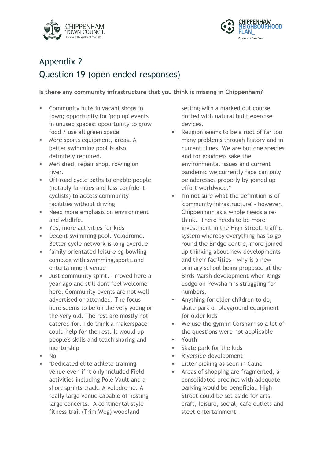



## Appendix 2 Question 19 (open ended responses)

**Is there any community infrastructure that you think is missing in Chippenham?**

- § Community hubs in vacant shops in town; opportunity for 'pop up' events in unused spaces; opportunity to grow food / use all green space
- More sports equipment, areas. A better swimming pool is also definitely required.
- Men shed, repair shop, rowing on river.
- § Off-road cycle paths to enable people (notably families and less confident cyclists) to access community facilities without driving
- Need more emphasis on environment and wlidlife.
- § Yes, more activities for kids
- Decent swimming pool. Velodrome. Better cycle network is long overdue
- § family orientated leisure eg bowling complex with swimming,sports,and entertainment venue
- **■** Just community spirit. I moved here a year ago and still dont feel welcome here. Community events are not well advertised or attended. The focus here seems to be on the very young or the very old. The rest are mostly not catered for. I do think a makerspace could help for the rest. It would up people's skills and teach sharing and mentorship
- § No
- § "Dedicated elite athlete training venue even if it only included Field activities including Pole Vault and a short sprints track. A velodrome. A really large venue capable of hosting large concerts. A continental style fitness trail (Trim Weg) woodland

setting with a marked out course dotted with natural built exercise devices.

- Religion seems to be a root of far too many problems through history and in current times. We are but one species and for goodness sake the environmental issues and current pandemic we currently face can only be addresses properly by joined up effort worldwide."
- I'm not sure what the definition is of 'community infrastructure' - however, Chippenham as a whole needs a rethink. There needs to be more investment in the High Street, traffic system whereby everything has to go round the Bridge centre, more joined up thinking about new developments and their facilities - why is a new primary school being proposed at the Birds Marsh development when Kings Lodge on Pewsham is struggling for numbers.
- § Anything for older children to do, skate park or playground equipment for older kids
- We use the gym in Corsham so a lot of the questions were not applicable
- § Youth
- Skate park for the kids
- § Riverside development
- **Example 1** Litter picking as seen in Calne
- § Areas of shopping are fragmented, a consolidated precinct with adequate parking would be beneficial. High Street could be set aside for arts, craft, leisure, social, cafe outlets and steet entertainment.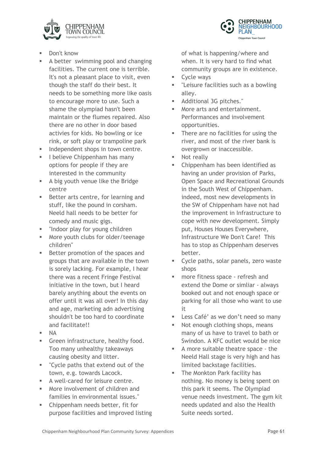



- Don't know
- § A better swimming pool and changing facilities. The current one is terrible. It's not a pleasant place to visit, even though the staff do their best. It needs to be something more like oasis to encourage more to use. Such a shame the olympiad hasn't been maintain or the flumes repaired. Also there are no other in door based activies for kids. No bowling or ice rink, or soft play or trampoline park
- **■** Independent shops in town centre.
- **EXEC** I believe Chippenham has many options for people if they are interested in the community
- § A big youth venue like the Bridge centre
- Better arts centre, for learning and stuff, like the pound in corsham. Neeld hall needs to be better for comedy and music gigs.
- § "Indoor play for young children
- More youth clubs for older/teenage children"
- Better promotion of the spaces and groups that are available in the town is sorely lacking. For example, I hear there was a recent Fringe Festival initiative in the town, but I heard barely anything about the events on offer until it was all over! In this day and age, marketing adn advertising shouldn't be too hard to coordinate and facilitate!!
- $\blacksquare$  NA
- **•** Green infrastructure, healthy food. Too many unhealthy takeaways causing obesity and litter.
- § "Cycle paths that extend out of the town, e.g. towards Lacock.
- **EXEC** A well-cared for leisure centre.
- More involvement of children and families in environmental issues."
- § Chippenham needs better, fit for purpose facilities and improved listing

of what is happening/where and when. It is very hard to find what community groups are in existence.

- Cycle ways
- § "Leisure facilities such as a bowling alley.
- § Additional 3G pitches."
- More arts and entertainment. Performances and involvement opportunities.
- There are no facilities for using the river, and most of the river bank is overgrown or inaccessible.
- Not really
- § Chippenham has been identified as having an under provision of Parks, Open Space and Recreational Grounds in the South West of Chippenham. indeed, most new developments in the SW of Chippenham have not had the improvement in Infrastructure to cope with new development. Simply put, Houses Houses Everywhere, Infrastructure We Don't Care! This has to stop as Chippenham deserves better.
- Cycle paths, solar panels, zero waste shops
- more fitness space refresh and extend the Dome or simliar - always booked out and not enough space or parking for all those who want to use it
- Less Café' as we don't need so many
- Not enough clothing shops, means many of us have to travel to bath or Swindon. A KFC outlet would be nice
- § A more suitable theatre space the Neeld Hall stage is very high and has limited backstage facilities.
- The Monkton Park facility has nothing. No money is being spent on this park it seems. The Olympiad venue needs investment. The gym kit needs updated and also the Health Suite needs sorted.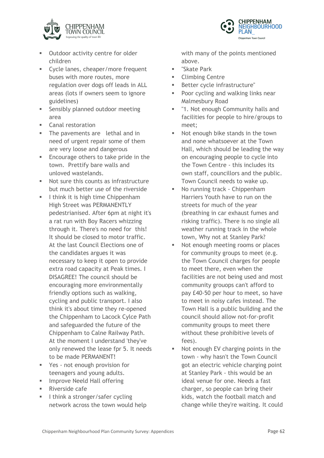

- Outdoor activity centre for older children
- Cycle lanes, cheaper/more frequent buses with more routes, more regulation over dogs off leads in ALL areas (lots if owners seem to ignore guidelines)
- § Sensibly planned outdoor meeting area
- Canal restoration
- The pavements are lethal and in need of urgent repair some of them are very loose and dangerous
- Encourage others to take pride in the town. Prettify bare walls and unloved wastelands.
- § Not sure this counts as infrastructure but much better use of the riverside
- I think it is high time Chippenham High Street was PERMANENTLY pedestrianised. After 6pm at night it's a rat run with Boy Racers whizzing through it. There's no need for this! It should be closed to motor traffic. At the last Council Elections one of the candidates argues it was necessary to keep it open to provide extra road capacity at Peak times. I DISAGREE! The council should be encouraging more environmentally friendly options such as walking, cycling and public transport. I also think it's about time they re-opened the Chippenham to Lacock Cylce Path and safeguarded the future of the Chippenham to Calne Railway Path. At the moment I understand 'they've only renewed the lease fpr 5. It needs to be made PERMANENT!
- Yes not enough provision for teenagers and young adults.
- **■** Improve Neeld Hall offering
- Riverside cafe
- **I** I think a stronger/safer cycling network across the town would help

with many of the points mentioned above.

- § "Skate Park
- § Climbing Centre
- Better cycle infrastructure"
- Poor cycling and walking links near Malmesbury Road
- "1. Not enough Community halls and facilities for people to hire/groups to meet;
- Not enough bike stands in the town and none whatsoever at the Town Hall, which should be leading the way on encouraging people to cycle into the Town Centre - this includes its own staff, councillors and the public. Town Council needs to wake up.
- No running track Chippenham Harriers Youth have to run on the streets for much of the year (breathing in car exhaust fumes and risking traffic). There is no single all weather running track in the whole town, Why not at Stanley Park?
- Not enough meeting rooms or places for community groups to meet (e.g. the Town Council charges for people to meet there, even when the facilities are not being used and most community grouops can't afford to pay £40-50 per hour to meet, so have to meet in noisy cafes instead. The Town Hall is a public building and the council should allow not-for-profit community groups to meet there without these prohibitive levels of fees).
- Not enough EV charging points in the town - why hasn't the Town Council got an electric vehicle charging point at Stanley Park - this would be an ideal venue for one. Needs a fast charger, so people can bring their kids, watch the football match and change while they're waiting. It could

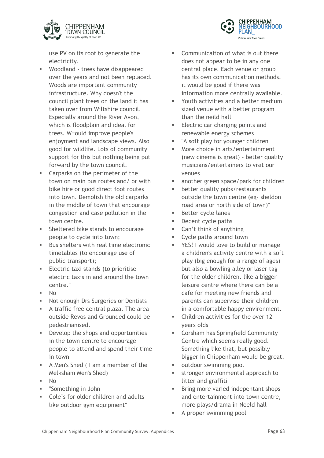



use PV on its roof to generate the electricity.

- § Woodland trees have disappeared over the years and not been replaced. Woods are important community infrastructure. Why doesn't the council plant trees on the land it has taken over from Wiltshire council. Especially around the River Avon, which is floodplain and ideal for trees. W=ould improve people's enjoyment and landscape views. Also good for wildlife. Lots of community support for this but nothing being put forward by the town council.
- Carparks on the perimeter of the town on main bus routes and/ or with bike hire or good direct foot routes into town. Demolish the old carparks in the middle of town that encourage congestion and case pollution in the town centre.
- § Sheltered bike stands to encourage people to cycle into town;
- Bus shelters with real time electronic timetables (to encourage use of public transport);
- § Electric taxi stands (to prioritise electric taxis in and around the town centre."
- § No
- Not enough Drs Surgeries or Dentists
- § A traffic free central plaza. The area outside Revos and Grounded could be pedestrianised.
- Develop the shops and opportunities in the town centre to encourage people to attend and spend their time in town
- § A Men's Shed ( I am a member of the Melksham Men's Shed)
- $\blacksquare$  No
- § "Something in John
- Cole's for older children and adults like outdoor gym equipment"
- Communication of what is out there does not appear to be in any one central place. Each venue or group has its own communication methods. it would be good if there was information more centrally available.
- § Youth activities and a better medium sized venue with a better program than the neild hall
- Electric car charging points and renewable energy schemes
- "A soft play for younger children
- More choice in arts/entertainment (new cinema is great) - better quality musicians/entertainers to visit our venues
- **EXEC** another green space/park for children
- better quality pubs/restaurants outside the town centre (eg- sheldon road area or north side of town)"
- Better cycle lanes
- Decent cycle paths
- Can't think of anything
- Cycle paths around town
- YES! I would love to build or manage a children's activity centre with a soft play (big enough for a range of ages) but also a bowling alley or laser tag for the older children. like a bigger leisure centre where there can be a cafe for meeting new friends and parents can supervise their children in a comfortable happy environment.
- § Children activities for the over 12 years olds
- § Corsham has Springfield Community Centre which seems really good. Something like that, but possibly bigger in Chippenham would be great.
- outdoor swimming pool
- stronger environmental approach to litter and graffiti
- **•** Bring more varied indepentant shops and entertainment into town centre, more plays/drama in Neeld hall
- § A proper swimming pool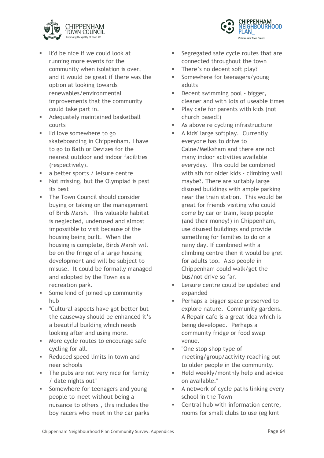



- **E** It'd be nice if we could look at running more events for the community when isolation is over, and it would be great if there was the option at looking towards renewables/environmental improvements that the community could take part in.
- **EXECUTE:** Adequately maintained basketball courts
- § I'd love somewhere to go skateboarding in Chippenham. I have to go to Bath or Devizes for the nearest outdoor and indoor facilities (respectively).
- a better sports / leisure centre
- Not missing, but the Olympiad is past its best
- **The Town Council should consider** buying or taking on the management of Birds Marsh. This valuable habitat is neglected, underused and almost impossiible to visit because of the housing being built. When the housing is complete, Birds Marsh will be on the fringe of a large housing development and will be subject to misuse. It could be formally managed and adopted by the Town as a recreation park.
- § Some kind of joined up community hub
- "Cultural aspects have got better but the causeway should be enhanced it's a beautiful building which needs looking after and using more.
- More cycle routes to encourage safe cycling for all.
- Reduced speed limits in town and near schools
- The pubs are not very nice for family / date nights out"
- § Somewhere for teenagers and young people to meet without being a nuisance to others , this includes the boy racers who meet in the car parks
- Segregated safe cycle routes that are connected throughout the town
- There's no decent soft play?
- § Somewhere for teenagers/young adults
- Decent swimming pool bigger, cleaner and with lots of useable times
- Play cafe for parents with kids (not church based!)
- As above re cycling infrastructure
- A kids' large softplay. Currently everyone has to drive to Calne/Melksham and there are not many indoor activities available everyday. This could be combined with sth for older kids - climbing wall maybe?. There are suitably large disused buildings with ample parking near the train station. This would be great for friends visiting who could come by car or train, keep people (and their money!) in Chippenham, use disused buildings and provide something for families to do on a rainy day. If combined with a climbing centre then it would be gret for adults too. Also people in Chippenham could walk/get the bus/not drive so far.
- **Example 1** Leisure centre could be updated and expanded
- Perhaps a bigger space preserved to explore nature. Community gardens. A Repair cafe is a great idea which is being developed. Perhaps a community fridge or food swap venue.
- "One stop shop type of meeting/group/activity reaching out to older people in the community.
- Held weekly/monthly help and advice on available."
- A network of cycle paths linking every school in the Town
- Central hub with information centre, rooms for small clubs to use (eg knit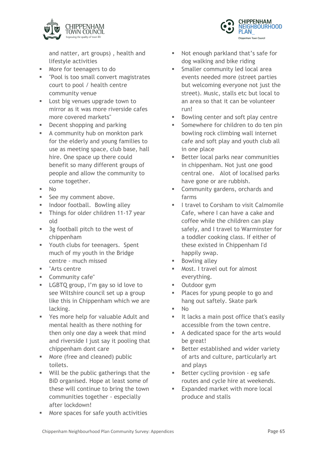

and natter, art groups) , health and lifestyle activities

- More for teenagers to do
- "Pool is too small convert magistrates court to pool / health centre community venue
- **Example 1** Lost big venues upgrade town to mirror as it was more riverside cafes more covered markets"
- Decent shopping and parking
- A community hub on monkton park for the elderly and young families to use as meeting space, club base, hall hire. One space up there could benefit so many different groups of people and allow the community to come together.
- $\blacksquare$  No
- See my comment above.
- **■** Indoor football. Bowling alley
- **■** Things for older children 11-17 year old
- 3g football pitch to the west of chippenham
- § Youth clubs for teenagers. Spent much of my youth in the Bridge centre - much missed
- § "Arts centre
- § Community cafe"
- LGBTQ group, I'm gay so id love to see Wiltshire council set up a group like this in Chippenham which we are lacking.
- § Yes more help for valuable Adult and mental health as there nothing for then only one day a week that mind and riverside I just say it pooling that chippenham dont care
- More (free and cleaned) public toilets.
- Will be the public gatherings that the BiD organised. Hope at least some of these will continue to bring the town communities together - especially after lockdown!
- § More spaces for safe youth activities
- Not enough parkland that's safe for dog walking and bike riding
- § Smaller community led local area events needed more (street parties but welcoming everyone not just the street). Music, stalls etc but local to an area so that it can be volunteer run!
- Bowling center and soft play centre
- § Somewhere for children to do ten pin bowling rock climbing wall internet cafe and soft play and youth club all in one place
- Better local parks near communities in chippenham. Not just one good central one. Alot of localised parks have gone or are rubbish.
- § Community gardens, orchards and farms
- **I I travel to Corsham to visit Calmomile** Cafe, where I can have a cake and coffee while the children can play safely, and I travel to Warminster for a toddler cooking class. If either of these existed in Chippenham I'd happily swap.
- Bowling alley
- § Most. I travel out for almost everything.
- Outdoor gym
- Places for ypung people to go and hang out saftely. Skate park
- § No
- **EXTE:** It lacks a main post office that's easily accessible from the town centre.
- § A dedicated space for the arts would be great!
- Better established and wider variety of arts and culture, particularly art and plays
- Better cycling provision eg safe routes and cycle hire at weekends.
- Expanded market with more local produce and stalls

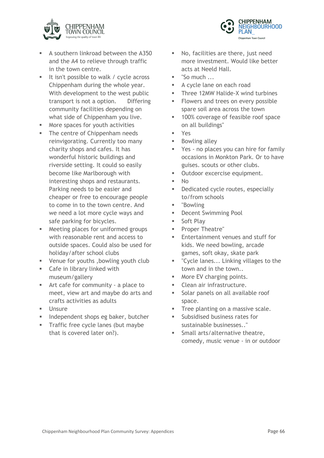



- § A southern linkroad between the A350 and the A4 to relieve through traffic in the town centre.
- It isn't possible to walk / cycle across Chippenham during the whole year. With development to the west public transport is not a option. Differing community facilities depending on what side of Chippenham you live.
- More spaces for youth activities
- **•** The centre of Chippenham needs reinvigorating. Currently too many charity shops and cafes. It has wonderful historic buildings and riverside setting. It could so easily become like Marlborough with interesting shops and restaurants. Parking needs to be easier and cheaper or free to encourage people to come in to the town centre. And we need a lot more cycle ways and safe parking for bicycles.
- Meeting places for uniformed groups with reasonable rent and access to outside spaces. Could also be used for holiday/after school clubs
- § Venue for youths ,bowling youth club
- Cafe in library linked with museum/gallery
- Art cafe for community a place to meet, view art and maybe do arts and crafts activities as adults
- § Unsure
- § Independent shops eg baker, butcher
- **Traffic free cycle lanes (but maybe** that is covered later on?).
- § No, facilities are there, just need more investment. Would like better acts at Neeld Hall.
- "So much ...
- § A cycle lane on each road
- Three 12MW Halide-X wind turbines
- Flowers and trees on every possible spare soil area across the town
- 100% coverage of feasible roof space on all buildings"
- § Yes
- **■** Bowling alley
- Yes no places you can hire for family occasions in Monkton Park. Or to have guises. scouts or other clubs.
- **•** Outdoor excercise equipment.
- $\blacksquare$  No
- **•** Dedicated cycle routes, especially to/from schools
- § "Bowling
- Decent Swimming Pool
- Soft Play
- Proper Theatre"
- § Entertainment venues and stuff for kids. We need bowling, arcade games, soft okay, skate park
- § "Cycle lanes... Linking villages to the town and in the town..
- More EV charging points.
- **■** Clean air infrastructure.
- Solar panels on all available roof space.
- Tree planting on a massive scale.
- § Subsidised business rates for sustainable businesses.."
- § Small arts/alternative theatre, comedy, music venue - in or outdoor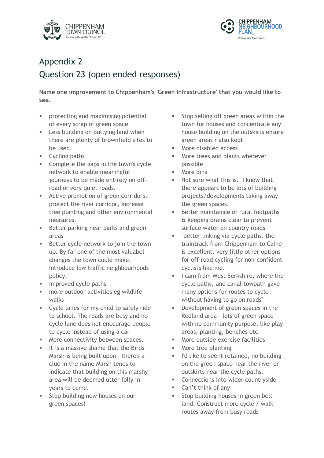



## Appendix 2 Question 23 (open ended responses)

**Name one improvement to Chippenham's 'Green Infrastructure' that you would like to see.**

- protecting and maximising potential of every scrap of green space
- **Example 3** Less building on outlying land when there are plenty of brownfield sites to be used.
- Cycling paths
- § Complete the gaps in the town's cycle network to enable meaningful journeys to be made entirely on offroad or very quiet roads.
- **EXECUTE:** Active promotion of green corridors, protect the river corridor, increase tree planting and other environmental measures.
- Better parking near parks and green areas
- Better cycle network to join the town up. By far one of the most valuabel changes the town could make. Introduce low traffic neighbourhoods policy.
- **EXECUTE:** Improved cycle paths
- more outdoor activities eg wildlife walks
- Cycle lanes for my child to safely ride to school. The roads are busy and no cycle lane does not encourage people to cycle instead of using a car
- More connectivity between spaces.
- It is a massive shame that the Birds Marsh is being built upon - there's a clue in the name Marsh tends to indicate that building on this marshy area will be deemed utter folly in years to come.
- Stop building new houses on our green spaces!
- Stop selling off green areas within the town for houses and concentrate any house building on the outskirts ensure green areas r also kept
- § More disabled access
- More trees and plants wherever possible
- § More bins
- § Not sure what this is. I know that there appears to be lots of building projects/developments taking away the green spaces.
- Better maintaince of rural footpaths & keeping drains clear to prevent surface water on country roads
- **■** "better linking via cycle paths. the traintrack from Chippenham to Calne is excellent. very little other options for off-road cycling for non-confident cyclists like me.
- I cam from West Berkshire, where the cycle paths, and canal towpath gave many options for routes to cycle without having to go on roads"
- Development of green spaces in the Redland area - lots of green space with no community purpose, like play areas, planting, benches etc
- § More outside exercise facilities
- § More tree planting
- I'd like to see it retained, no building on the green space near the river or outskirts near the cycle paths.
- Connections into wider countryside
- § Can't think of any
- Stop building houses in green belt land. Construct more cycle / walk routes away from busy roads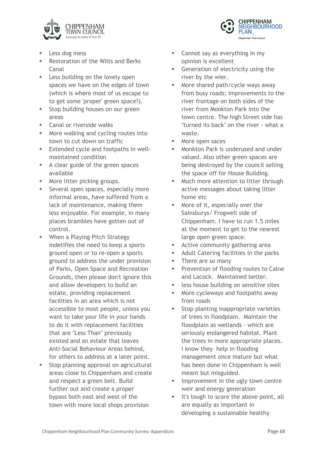



- Less dog mess
- Restoration of the Wilts and Berks Canal
- **Example 3** Less building on the lovely open spaces we have on the edges of town (which is where most of us escape to to get some 'proper' green space!).
- **■** Stop building houses on our green areas
- Canal or riverside walks
- More walking and cycling routes into town to cut down on traffic
- **Extended cycle and footpaths in well**maintained condition
- A clear guide of the green spaces available
- More litter picking groups.
- Several open spaces, especially more informal areas, have suffered from a lack of maintenance, making them less enjoyable. For example, in many places brambles have gotten out of control.
- When a Playing Pitch Strategy indetifies the need to keep a sports ground open or to re-open a sports ground to address the under provision of Parks, Open Space and Recreation Grounds, then please don't ignore this and allow developers to build an estate, providing replacement facilities in an area which is not accessible to most people, unless you want to take your life in your hands to do it with replacement facilities that are "Less Than" previously existed and an estate that leaves Anti-Social Behaviour Areas behind, for others to address at a later point.
- Stop planning approval on agricultural areas close to Chippenham and create and respect a green belt. Build further out and create a proper bypass both east and west of the town with more local shops provision
- Cannot say as everything in my opinion is excellent
- Generation of electricity using the river by the wier.
- § More shared path/cycle ways away from busy roads; improvements to the river frontage on both sides of the river from Monkton Park into the town centre. The high Street side has "turned its back" on the river - what a waste.
- § More open saces
- § Monkton Park is underused and under valued. Also other green spaces are being destroyed by the council selling the space off for House Building.
- § Much more attention to litter through active messages about taking litter home etc
- § More of it, especially over the Sainsburys/ Frogwell side of Chippenham. I have to run 1.5 miles at the moment to get to the nearest large open green space.
- Active community gathering area
- Adult Catering facilities in the parks
- **Fig.** There are so many
- Prevention of flooding routes to Calne and Lacock. Maintained better.
- **■** less house building on sensitive sites
- § More cycleways and footpaths away from roads
- Stop planting inappropriate varieties of trees in floodplain. Maintain the floodplain as wetlands - which are seriously endangered habitat. Plant the trees in more appropriate places. I know they help in flooding management once mature but what has been done in Chippenham is well meant but misguided.
- Improvement in the ugly town centre weir and energy generation
- It's tough to score the above point, all are equally as important in developing a sustainable healthy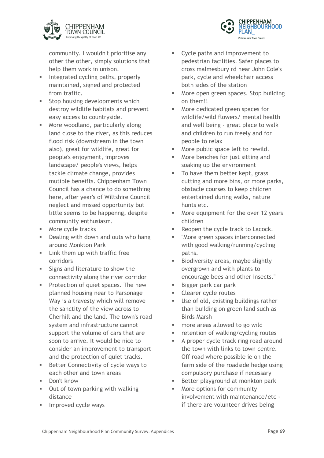

community. I wouldn't prioritise any other the other, simply solutions that help them work in unison.

- **■** Integrated cycling paths, properly maintained, signed and protected from traffic.
- **Stop housing developments which** destroy wildlife habitats and prevent easy access to countryside.
- More woodland, particularly along land close to the river, as this reduces flood risk (downstream in the town also), great for wildlife, great for people's enjoyment, improves landscape/ people's views, helps tackle climate change, provides mutiple beneifts. Chippenham Town Council has a chance to do something here, after year's of Wiltshire Council neglect and missed opportunity but little seems to be happenng, despite community enthusiasm.
- More cycle tracks
- Dealing with down and outs who hang around Monkton Park
- **Example 1** Link them up with traffic free corridors
- Signs and literature to show the connectivity along the river corridor
- Protection of quiet spaces. The new planned housing near to Parsonage Way is a travesty which will remove the sanctity of the view across to Cherhill and the land. The town's road system and infrastructure cannot support the volume of cars that are soon to arrive. It would be nice to consider an improvement to transport and the protection of quiet tracks.
- Better Connectivity of cycle ways to each other and town areas
- Don't know
- Out of town parking with walking distance
- § Improved cycle ways
- § Cycle paths and improvement to pedestrian facilities. Safer places to cross malmesbury rd near John Cole's park, cycle and wheelchair access both sides of the station
- § More open green spaces. Stop building on them!!
- § More dedicated green spaces for wildlife/wild flowers/ mental health and well being - great place to walk and children to run freely and for people to relax
- More public space left to rewild.
- § More benches for just sitting and soaking up the environment
- To have them better kept, grass cutting and more bins, or more parks, obstacle courses to keep children entertained during walks, nature hunts etc.
- More equipment for the over 12 years children
- Reopen the cycle track to Lacock.
- "More green spaces interconnected with good walking/running/cycling paths.
- Biodiversity areas, maybe slightly overgrown and with plants to encourage bees and other insects."
- Bigger park car park
- § Clearer cycle routes
- Use of old, existing buildings rather than building on green land such as Birds Marsh
- § more areas allowed to go wild
- retention of walking/cycling routes
- § A proper cycle track ring road around the town with links to town centre. Off road where possible ie on the farm side of the roadside hedge using compulsory purchase if necessary
- Better playground at monkton park
- More options for community involvement with maintenance/etc if there are volunteer drives being

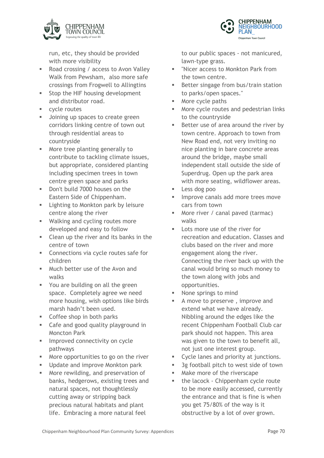

run, etc, they should be provided with more visibility

- Road crossing / access to Avon Valley Walk from Pewsham, also more safe crossings from Frogwell to Allingtins
- Stop the HIF housing development and distributor road.
- cycle routes
- **•** Joining up spaces to create green corridors linking centre of town out through residential areas to countryside
- More tree planting generally to contribute to tackling climate issues, but appropriate, considered planting including specimen trees in town centre green space and parks
- Don't build 7000 houses on the Eastern Side of Chippenham.
- **Example 1** Lighting to Monkton park by leisure centre along the river
- Walking and cycling routes more developed and easy to follow
- § Clean up the river and its banks in the centre of town
- Connections via cycle routes safe for children
- **■** Much better use of the Avon and walks
- § You are building on all the green space. Completely agree we need more housing, wish options like birds marsh hadn't been used.
- Coffee shop in both parks
- Cafe and good quality playground in Moncton Park
- **■** Improved connectivity on cycle pathways
- More opportunities to go on the river
- Update and improve Monkton park
- More rewilding, and preservation of banks, hedgerows, existing trees and natural spaces, not thoughtlessly cutting away or stripping back precious natural habitats and plant life. Embracing a more natural feel

to our public spaces - not manicured, lawn-type grass.

- § "Nicer access to Monkton Park from the town centre.
- Better singage from bus/train station to parks/open spaces."
- More cycle paths
- § More cycle routes and pedestrian links to the countryside
- Better use of area around the river by town centre. Approach to town from New Road end, not very inviting no nice planting in bare concrete areas around the bridge, maybe small independent stall outside the side of Superdrug. Open up the park area with more seating, wildflower areas.
- § Less dog poo
- Improve canals add more trees move cars from town
- More river / canal paved (tarmac) walks
- Lots more use of the river for recreation and education. Classes and clubs based on the river and more engagement along the river. Connecting the river back up with the canal would bring so much money to the town along with jobs and opportunities.
- § None springs to mind
- § A move to preserve , improve and extend what we have already. Nibbling around the edges like the recent Chippenham Football Club car park should not happen. This area was given to the town to benefit all, not just one interest group.
- § Cycle lanes and priority at junctions.
- § 3g football pitch to west side of town
- Make more of the riverscape
- the lacock Chippenham cycle route to be more easily accessed, currently the entrance and that is fine is when you get 75/80% of the way is it obstructive by a lot of over grown.

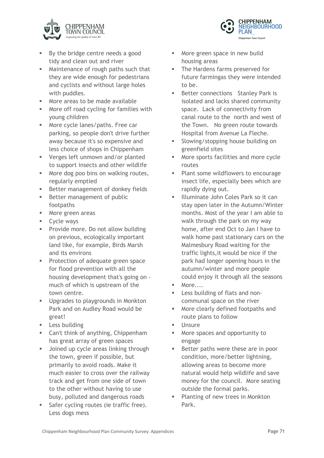

- By the bridge centre needs a good tidy and clean out and river
- Maintenance of rough paths such that they are wide enough for pedestrians and cyclists and without large holes with puddles.
- More areas to be made available
- More off road cycling for families with young children
- More cycle lanes/paths. Free car parking, so people don't drive further away because it's so expensive and less choice of shops in Chippenham
- Verges left unmown and/or planted to support insects and other wildlife
- More dog poo bins on walking routes, regularly emptied
- Better management of donkey fields
- Better management of public footpaths
- More green areas
- Cycle ways
- Provide more. Do not allow building on previous, ecologically important land like, for example, Birds Marsh and its environs
- § Protection of adequate green space for flood prevention with all the housing development that's going on much of which is upstream of the town centre.
- Upgrades to playgrounds in Monkton Park and on Audley Road would be great!
- § Less building
- Can't think of anything, Chippenham has great array of green spaces
- **■** Joined up cycle areas linking through the town, green if possible, but primarily to avoid roads. Make it much easier to cross over the railway track and get from one side of town to the other without having to use busy, polluted and dangerous roads
- Safer cycling routes (ie traffic free). Less dogs mess
- § More green space in new build housing areas
- The Hardens farms preserved for future farmingas they were intended to be.

**CHIPPENHAM** 

Chippenham Town Council

**VEIGHBOURHOOD** 

- Better connections Stanley Park is isolated and lacks shared community space. Lack of connectivity from canal route to the north and west of the Town. No green route towards Hospital from Avenue La Fleche.
- § Slowing/stopping house building on greenfield sites
- More sports facilities and more cycle routes
- Plant some wildflowers to encourage insect life, especially bees which are rapidly dying out.
- § Illuminate John Coles Park so it can stay open later in the Autumn/Winter months. Most of the year I am able to walk through the park on my way home, after end Oct to Jan I have to walk home past stationary cars on the Malmesbury Road waiting for the traffic lights,it would be nice if the park had longer opening hours in the autumn/winter and more people could enjoy it through all the seasons
- $\blacksquare$  More....
- Less building of flats and noncommunal space on the river
- § More clearly defined footpaths and route plans to follow
- § Unsure
- § More spaces and opportunity to engage
- Better paths were these are in poor condition, more/better lightning, allowing areas to become more natural would help wildlife and save money for the council. More seating outside the formal parks.
- Planting of new trees in Monkton Park.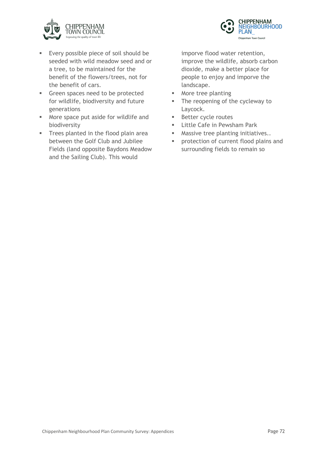



- Every possible piece of soil should be seeded with wild meadow seed and or a tree, to be maintained for the benefit of the flowers/trees, not for the benefit of cars.
- § Green spaces need to be protected for wildlife, biodiversity and future generations
- More space put aside for wildlife and biodiversity
- **■** Trees planted in the flood plain area between the Golf Club and Jubilee Fields (land opposite Baydons Meadow and the Sailing Club). This would

imporve flood water retention, improve the wildlife, absorb carbon dioxide, make a better place for people to enjoy and imporve the landscape.

- More tree planting
- The reopening of the cycleway to Laycock.
- Better cycle routes
- **Earth** Little Cafe in Pewsham Park
- **■** Massive tree planting initiatives..
- **•** protection of current flood plains and surrounding fields to remain so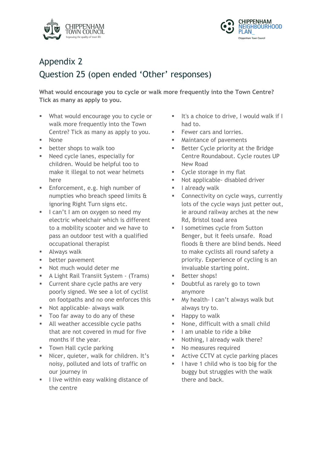



## Appendix 2 Question 25 (open ended 'Other' responses)

**What would encourage you to cycle or walk more frequently into the Town Centre? Tick as many as apply to you.**

- § What would encourage you to cycle or walk more frequently into the Town Centre? Tick as many as apply to you.
- 
- § None
- **■** better shops to walk too
- § Need cycle lanes, especially for children. Would be helpful too to make it illegal to not wear helmets here
- § Enforcement, e.g. high number of numpties who breach speed limits & ignoring Right Turn signs etc.
- I can't I am on oxygen so need my electric wheelchair which is different to a mobility scooter and we have to pass an outdoor test with a qualified occupational therapist
- Always walk
- **■** better pavement
- Not much would deter me
- A Light Rail Transiit System (Trams)
- Current share cycle paths are very poorly signed. We see a lot of cyclist on footpaths and no one enforces this
- Not applicable- always walk
- Too far away to do any of these
- All weather accessible cycle paths that are not covered in mud for five months if the year.
- **■** Town Hall cycle parking
- Nicer, quieter, walk for children. It's noisy, polluted and lots of traffic on our journey in
- **I** live within easy walking distance of the centre
- **EXEC** It's a choice to drive, I would walk if I had to.
- Fewer cars and lorries.
- Maintance of pavements
- Better Cycle priority at the Bridge Centre Roundabout. Cycle routes UP New Road
- **EXECUTE:** Cycle storage in my flat
- Not applicable- disabled driver
- **I** lalready walk
- **EXECONNECTIVITY ON CYCLE WAYS, CUTTENTLY** lots of the cycle ways just petter out, ie around railway arches at the new Rd, Bristol toad area
- § I sometimes cycle from Sutton Benger, but it feels unsafe. Road floods & there are blind bends. Need to make cyclists all round safety a priority. Experience of cycling is an invaluable starting point.
- § Better shops!
- § Doubtful as rarely go to town anymore
- § My health- I can't always walk but always try to.
- § Happy to walk
- § None, difficult with a small child
- **I** lam unable to ride a bike
- § Nothing, I already walk there?
- § No measures required
- Active CCTV at cycle parking places
- I have 1 child who is too big for the buggy but struggles with the walk there and back.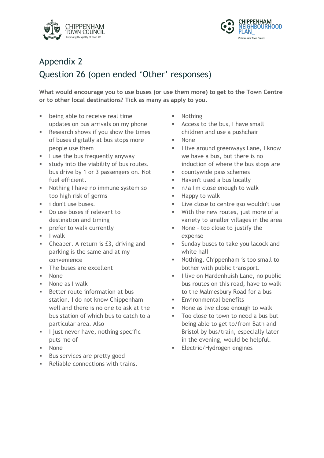



## Appendix 2 Question 26 (open ended 'Other' responses)

**What would encourage you to use buses (or use them more) to get to the Town Centre or to other local destinations? Tick as many as apply to you.**

- **•** being able to receive real time updates on bus arrivals on my phone
- Research shows if you show the times of buses digitally at bus stops more people use them
- **I** luse the bus frequently anyway
- study into the viability of bus routes. bus drive by 1 or 3 passengers on. Not fuel efficient.
- § Nothing I have no immune system so too high risk of germs
- *i* don't use buses.
- Do use buses if relevant to destination and timing
- **■** prefer to walk currently
- § I walk
- § Cheaper. A return is £3, driving and parking is the same and at my convenience
- The buses are excellent
- § None
- None as I walk
- Better route information at bus station. I do not know Chippenham well and there is no one to ask at the bus station of which bus to catch to a particular area. Also
- **I** ljust never have, nothing specific puts me of
- § None
- Bus services are pretty good
- Reliable connections with trains.
- § Nothing
- Access to the bus, I have small children and use a pushchair
- § None
- **I** live around greenways Lane, I know we have a bus, but there is no induction of where the bus stops are
- countywide pass schemes
- **E** Haven't used a bus locally
- n/a I'm close enough to walk
- Happy to walk
- **EXECOSE COMANGE 250 Wouldn't use**
- With the new routes, just more of a variety to smaller villages in the area
- None too close to justify the expense
- Sunday buses to take you lacock and white hall
- § Nothing, Chippenham is too small to bother with public transport.
- **I** live on Hardenhuish Lane, no public bus routes on this road, have to walk to the Malmesbury Road for a bus
- Environmental benefits
- None as live close enough to walk
- Too close to town to need a bus but being able to get to/from Bath and Bristol by bus/train, especially later in the evening, would be helpful.
- § Electric/Hydrogen engines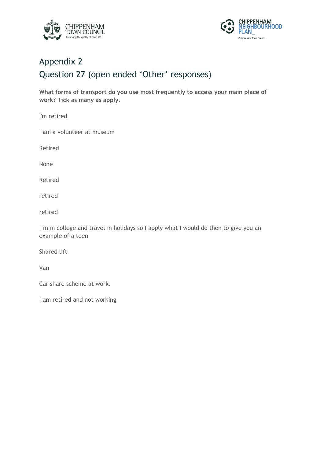



# Appendix 2 Question 27 (open ended 'Other' responses)

**What forms of transport do you use most frequently to access your main place of work? Tick as many as apply.**

I'm retired

I am a volunteer at museum

Retired

None

Retired

retired

retired

I'm in college and travel in holidays so I apply what I would do then to give you an example of a teen

Shared lift

Van

Car share scheme at work.

I am retired and not working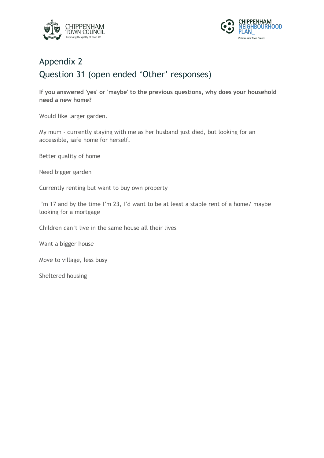



### Appendix 2 Question 31 (open ended 'Other' responses)

**If you answered 'yes' or 'maybe' to the previous questions, why does your household need a new home?**

Would like larger garden.

My mum - currently staying with me as her husband just died, but looking for an accessible, safe home for herself.

Better quality of home

Need bigger garden

Currently renting but want to buy own property

I'm 17 and by the time I'm 23, I'd want to be at least a stable rent of a home/ maybe looking for a mortgage

Children can't live in the same house all their lives

Want a bigger house

Move to village, less busy

Sheltered housing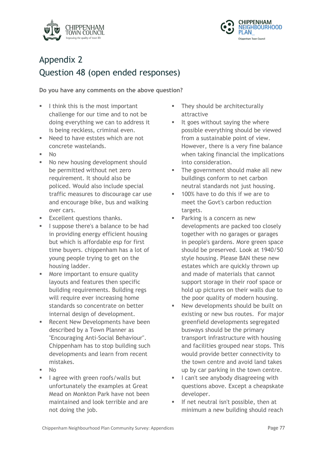



### Appendix 2 Question 48 (open ended responses)

**Do you have any comments on the above question?**

- I think this is the most important challenge for our time and to not be doing everything we can to address it is being reckless, criminal even.
- Need to have eststes which are not concrete wastelands.
- $\blacksquare$  No
- No new housing development should be permitted without net zero requirement. It should also be policed. Would also include special traffic measures to discourage car use and encourage bike, bus and walking over cars.
- Excellent questions thanks.
- **If** I suppose there's a balance to be had in providing energy efficient housing but which is affordable esp for first time buyers. chippenham has a lot of young people trying to get on the housing ladder.
- More important to ensure quality layouts and features then specific building requirements. Building regs will require ever increasing home standards so concentrate on better internal design of development.
- Recent New Developments have been described by a Town Planner as "Encouraging Anti-Social Behaviour". Chippenham has to stop building such developments and learn from recent mistakes.
- § No
- lagree with green roofs/walls but unfortunately the examples at Great Mead on Monkton Park have not been maintained and look terrible and are not doing the job.
- They should be architecturally attractive
- It goes without saying the where possible everything should be viewed from a sustainable point of view. However, there is a very fine balance when taking financial the implications into consideration.
- The government should make all new buildings conform to net carbon neutral standards not just housing.
- § 100% have to do this if we are to meet the Govt's carbon reduction targets.
- **•** Parking is a concern as new developments are packed too closely together with no garages or garages in people's gardens. More green space should be preserved. Look at 1940/50 style housing. Please BAN these new estates which are quickly thrown up and made of materials that cannot support storage in their roof space or hold up pictures on their walls due to the poor quality of modern housing.
- New developments should be built on existing or new bus routes. For major greenfield developments segregated busways should be the primary transport infrastructure with housing and facilities grouped near stops. This would provide better connectivity to the town centre and avoid land takes up by car parking in the town centre.
- I can't see anybody disagreeing with questions above. Except a cheapskate developer.
- If net neutral isn't possible, then at minimum a new building should reach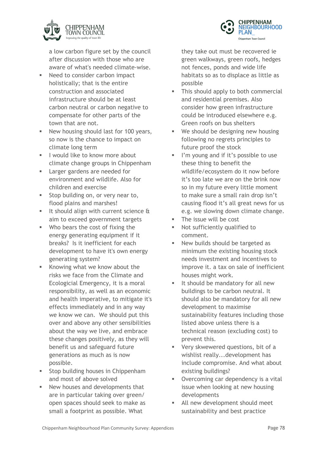

a low carbon figure set by the council after discussion with those who are aware of what's needed climate-wise.

- Need to consider carbon impact holistically; that is the entire construction and associated infrastructure should be at least carbon neutral or carbon negative to compensate for other parts of the town that are not.
- **■** New housing should last for 100 years, so now is the chance to impact on climate long term
- **I** l would like to know more about climate change groups in Chippenham
- **Example 1** Larger gardens are needed for environment and wildlife. Also for children and exercise
- **Stop building on, or very near to,** flood plains and marshes!
- It should align with current science & aim to exceed government targets
- § Who bears the cost of fixing the energy generating equipment if it breaks? Is it inefficient for each development to have it's own energy generating system?
- § Knowing what we know about the risks we face from the Climate and Ecologicial Emergency, it is a moral responsibility, as well as an economic and health imperative, to mitigate it's effects immediately and in any way we know we can. We should put this over and above any other sensibilities about the way we live, and embrace these changes positively, as they will benefit us and safeguard future generations as much as is now possible.
- Stop building houses in Chippenham and most of above solved
- New houses and developments that are in particular taking over green/ open spaces should seek to make as small a footprint as possible. What

they take out must be recovered ie green walkways, green roofs, hedges not fences, ponds and wide life habitats so as to displace as little as possible

- This should apply to both commercial and residential premises. Also consider how green infrastructure could be introduced elsewhere e.g. Green roofs on bus shelters
- We should be designing new housing following no regrets principles to future proof the stock
- § I'm young and if it's possible to use these thing to benefit the wildlife/ecosystem do it now before it's too late we are on the brink now so in my future every little moment to make sure a small rain drop isn't causing flood it's all great news for us e.g. we slowing down climate change.
- The issue will be cost
- Not sufficiently qualified to comment.
- New builds should be targeted as minimum the existing housing stock needs investment and incentives to improve it. a tax on sale of inefficient houses might work.
- It should be mandatory for all new buildings to be carbon neutral. It should also be mandatory for all new development to maximise sustainability features including those listed above unless there is a technical reason (excluding cost) to prevent this.
- § Very skwewered questions, bit of a wishlist really...development has include compromise. And what about existing buildings?
- Overcoming car dependency is a vital issue when looking at new housing developments
- All new development should meet sustainability and best practice